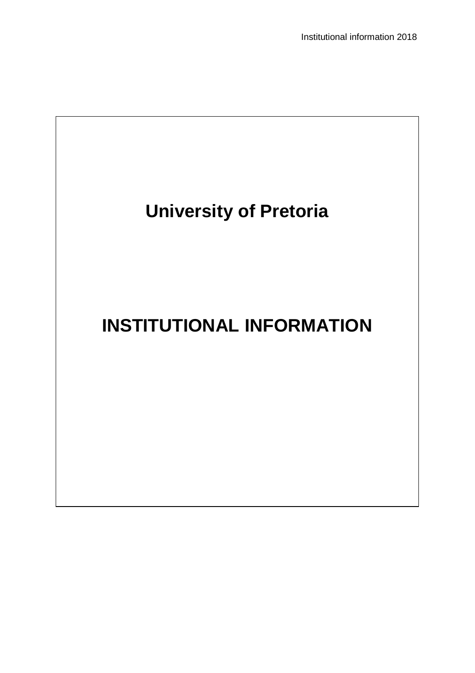Institutional information 2018

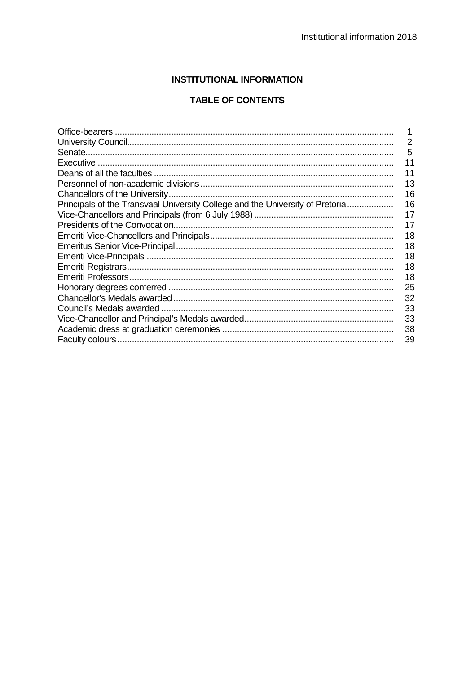# **INSTITUTIONAL INFORMATION**

# **TABLE OF CONTENTS**

|                                                                               | 2  |
|-------------------------------------------------------------------------------|----|
|                                                                               | 5  |
|                                                                               | 11 |
|                                                                               | 11 |
|                                                                               | 13 |
|                                                                               | 16 |
| Principals of the Transvaal University College and the University of Pretoria | 16 |
|                                                                               | 17 |
|                                                                               | 17 |
|                                                                               | 18 |
|                                                                               | 18 |
|                                                                               | 18 |
|                                                                               | 18 |
|                                                                               | 18 |
|                                                                               | 25 |
|                                                                               | 32 |
|                                                                               | 33 |
|                                                                               | 33 |
|                                                                               | 38 |
|                                                                               | 39 |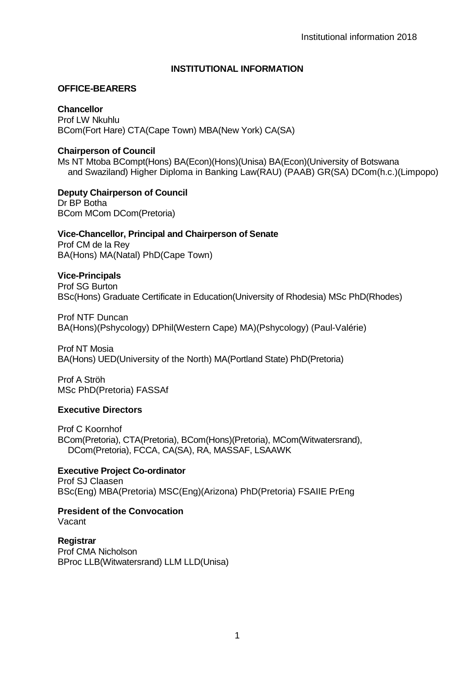## **INSTITUTIONAL INFORMATION**

#### **OFFICE-BEARERS**

**Chancellor** Prof LW Nkuhlu BCom(Fort Hare) CTA(Cape Town) MBA(New York) CA(SA)

#### **Chairperson of Council**

Ms NT Mtoba BCompt(Hons) BA(Econ)(Hons)(Unisa) BA(Econ)(University of Botswana and Swaziland) Higher Diploma in Banking Law(RAU) (PAAB) GR(SA) DCom(h.c.)(Limpopo)

**Deputy Chairperson of Council** Dr BP Botha BCom MCom DCom(Pretoria)

#### **Vice-Chancellor, Principal and Chairperson of Senate**

Prof CM de la Rey BA(Hons) MA(Natal) PhD(Cape Town)

#### **Vice-Principals**

Prof SG Burton BSc(Hons) Graduate Certificate in Education(University of Rhodesia) MSc PhD(Rhodes)

Prof NTF Duncan BA(Hons)(Pshycology) DPhil(Western Cape) MA)(Pshycology) (Paul-Valérie)

Prof NT Mosia BA(Hons) UED(University of the North) MA(Portland State) PhD(Pretoria)

Prof A Ströh MSc PhD(Pretoria) FASSAf

## **Executive Directors**

Prof C Koornhof BCom(Pretoria), CTA(Pretoria), BCom(Hons)(Pretoria), MCom(Witwatersrand), DCom(Pretoria), FCCA, CA(SA), RA, MASSAF, LSAAWK

## **Executive Project Co-ordinator**

Prof SJ Claasen BSc(Eng) MBA(Pretoria) MSC(Eng)(Arizona) PhD(Pretoria) FSAIIE PrEng

**President of the Convocation** Vacant

**Registrar** Prof CMA Nicholson BProc LLB(Witwatersrand) LLM LLD(Unisa)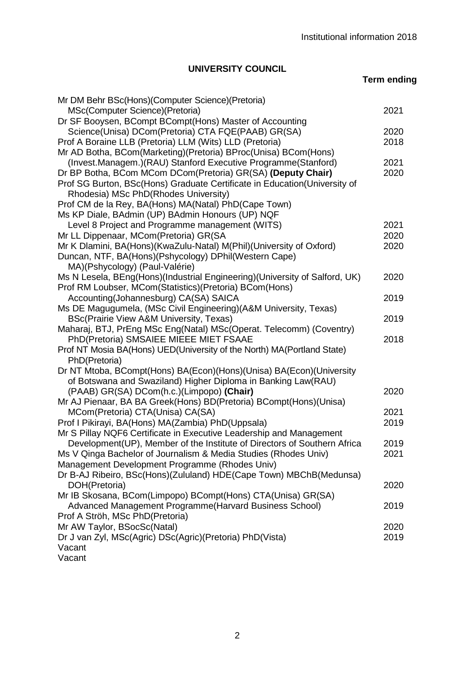# **UNIVERSITY COUNCIL**

**Term ending**

| Mr DM Behr BSc(Hons)(Computer Science)(Pretoria)                                        |      |
|-----------------------------------------------------------------------------------------|------|
| MSc(Computer Science)(Pretoria)                                                         | 2021 |
| Dr SF Booysen, BCompt BCompt(Hons) Master of Accounting                                 |      |
| Science(Unisa) DCom(Pretoria) CTA FQE(PAAB) GR(SA)                                      | 2020 |
| Prof A Boraine LLB (Pretoria) LLM (Wits) LLD (Pretoria)                                 | 2018 |
| Mr AD Botha, BCom(Marketing)(Pretoria) BProc(Unisa) BCom(Hons)                          |      |
| (Invest.Managem.)(RAU) Stanford Executive Programme(Stanford)                           | 2021 |
| Dr BP Botha, BCom MCom DCom(Pretoria) GR(SA) (Deputy Chair)                             | 2020 |
| Prof SG Burton, BSc(Hons) Graduate Certificate in Education(University of               |      |
| Rhodesia) MSc PhD(Rhodes University)                                                    |      |
| Prof CM de la Rey, BA(Hons) MA(Natal) PhD(Cape Town)                                    |      |
| Ms KP Diale, BAdmin (UP) BAdmin Honours (UP) NQF                                        |      |
| Level 8 Project and Programme management (WITS)                                         | 2021 |
| Mr LL Dippenaar, MCom(Pretoria) GR(SA                                                   | 2020 |
| Mr K Dlamini, BA(Hons)(KwaZulu-Natal) M(Phil)(University of Oxford)                     | 2020 |
| Duncan, NTF, BA(Hons)(Pshycology) DPhil(Western Cape)                                   |      |
| MA)(Pshycology) (Paul-Valérie)                                                          |      |
| Ms N Lesela, BEng(Hons)(Industrial Engineering)(University of Salford, UK)              | 2020 |
| Prof RM Loubser, MCom(Statistics)(Pretoria) BCom(Hons)                                  |      |
| Accounting(Johannesburg) CA(SA) SAICA                                                   | 2019 |
| Ms DE Magugumela, (MSc Civil Engineering) (A&M University, Texas)                       |      |
| BSc(Prairie View A&M University, Texas)                                                 | 2019 |
| Maharaj, BTJ, PrEng MSc Eng(Natal) MSc(Operat. Telecomm) (Coventry)                     |      |
| PhD(Pretoria) SMSAIEE MIEEE MIET FSAAE                                                  | 2018 |
| Prof NT Mosia BA(Hons) UED(University of the North) MA(Portland State)<br>PhD(Pretoria) |      |
| Dr NT Mtoba, BCompt(Hons) BA(Econ)(Hons)(Unisa) BA(Econ)(University                     |      |
| of Botswana and Swaziland) Higher Diploma in Banking Law(RAU)                           |      |
| (PAAB) GR(SA) DCom(h.c.)(Limpopo) (Chair)                                               | 2020 |
| Mr AJ Pienaar, BA BA Greek(Hons) BD(Pretoria) BCompt(Hons)(Unisa)                       |      |
| MCom(Pretoria) CTA(Unisa) CA(SA)                                                        | 2021 |
| Prof I Pikirayi, BA(Hons) MA(Zambia) PhD(Uppsala)                                       | 2019 |
| Mr S Pillay NQF6 Certificate in Executive Leadership and Management                     |      |
| Development(UP), Member of the Institute of Directors of Southern Africa                | 2019 |
| Ms V Qinga Bachelor of Journalism & Media Studies (Rhodes Univ)                         | 2021 |
| Management Development Programme (Rhodes Univ)                                          |      |
| Dr B-AJ Ribeiro, BSc(Hons)(Zululand) HDE(Cape Town) MBChB(Medunsa)                      |      |
| DOH(Pretoria)                                                                           | 2020 |
| Mr IB Skosana, BCom(Limpopo) BCompt(Hons) CTA(Unisa) GR(SA)                             |      |
| Advanced Management Programme (Harvard Business School)                                 | 2019 |
| Prof A Ströh, MSc PhD(Pretoria)                                                         |      |
| Mr AW Taylor, BSocSc(Natal)                                                             | 2020 |
| Dr J van Zyl, MSc(Agric) DSc(Agric)(Pretoria) PhD(Vista)                                | 2019 |
| Vacant                                                                                  |      |
| Vacant                                                                                  |      |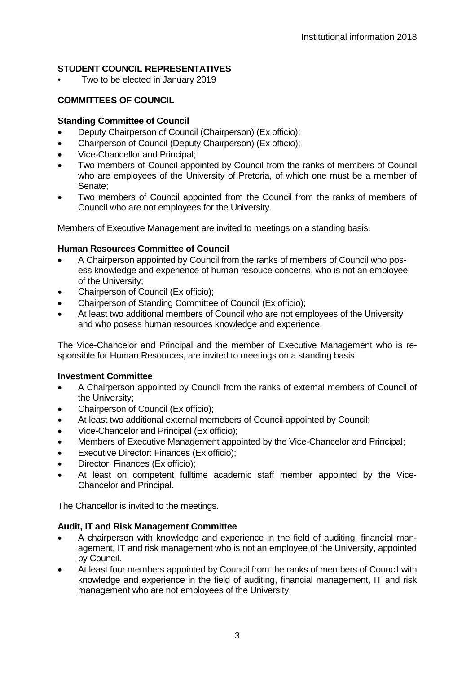# **STUDENT COUNCIL REPRESENTATIVES**

• Two to be elected in January 2019

## **COMMITTEES OF COUNCIL**

#### **Standing Committee of Council**

- Deputy Chairperson of Council (Chairperson) (Ex officio);
- Chairperson of Council (Deputy Chairperson) (Ex officio);
- Vice-Chancellor and Principal;
- Two members of Council appointed by Council from the ranks of members of Council who are employees of the University of Pretoria, of which one must be a member of Senate;
- Two members of Council appointed from the Council from the ranks of members of Council who are not employees for the University.

Members of Executive Management are invited to meetings on a standing basis.

#### **Human Resources Committee of Council**

- A Chairperson appointed by Council from the ranks of members of Council who posess knowledge and experience of human resouce concerns, who is not an employee of the University;
- Chairperson of Council (Ex officio);
- Chairperson of Standing Committee of Council (Ex officio);
- At least two additional members of Council who are not employees of the University and who posess human resources knowledge and experience.

The Vice-Chancelor and Principal and the member of Executive Management who is responsible for Human Resources, are invited to meetings on a standing basis.

#### **Investment Committee**

- A Chairperson appointed by Council from the ranks of external members of Council of the University;
- Chairperson of Council (Ex officio);
- At least two additional external memebers of Council appointed by Council;
- Vice-Chancelor and Principal (Ex officio);
- Members of Executive Management appointed by the Vice-Chancelor and Principal;
- Executive Director: Finances (Ex officio);
- Director: Finances (Ex officio);
- At least on competent fulltime academic staff member appointed by the Vice-Chancelor and Principal.

The Chancellor is invited to the meetings.

#### **Audit, IT and Risk Management Committee**

- A chairperson with knowledge and experience in the field of auditing, financial management, IT and risk management who is not an employee of the University, appointed by Council.
- At least four members appointed by Council from the ranks of members of Council with knowledge and experience in the field of auditing, financial management, IT and risk management who are not employees of the University.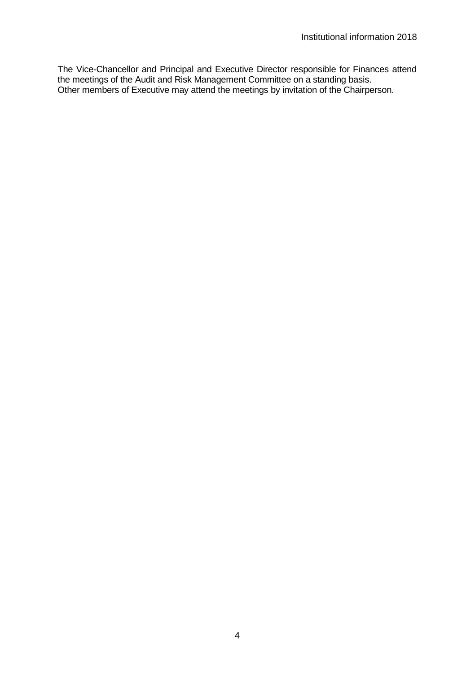The Vice-Chancellor and Principal and Executive Director responsible for Finances attend the meetings of the Audit and Risk Management Committee on a standing basis. Other members of Executive may attend the meetings by invitation of the Chairperson.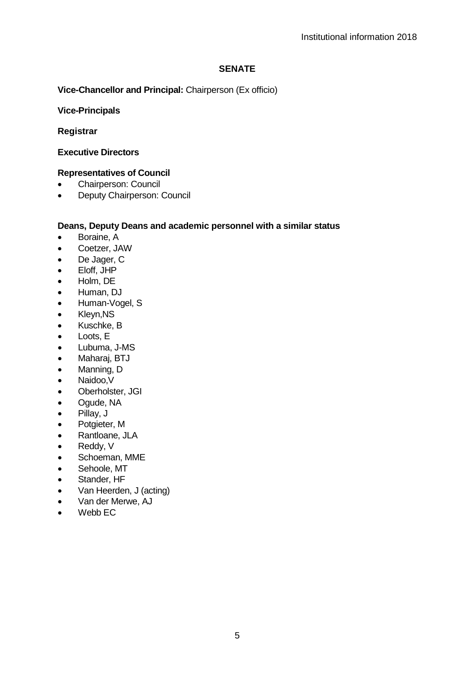## **SENATE**

## **Vice-Chancellor and Principal:** Chairperson (Ex officio)

### **Vice-Principals**

## **Registrar**

## **Executive Directors**

# **Representatives of Council**

- Chairperson: Council
- Deputy Chairperson: Council

#### **Deans, Deputy Deans and academic personnel with a similar status**

- Boraine, A
- Coetzer, JAW
- De Jager, C
- Eloff, JHP
- Holm, DE
- Human, DJ
- Human-Vogel, S
- Kleyn,NS
- Kuschke, B
- Loots, E
- Lubuma, J-MS
- Maharaj, BTJ
- Manning, D
- Naidoo,V
- Oberholster, JGI
- Ogude, NA
- Pillay, J
- Potgieter, M
- Rantloane, JLA
- Reddy, V
- Schoeman, MME
- Sehoole, MT
- Stander, HF
- Van Heerden, J (acting)
- Van der Merwe, AJ
- $\bullet$  Webb FC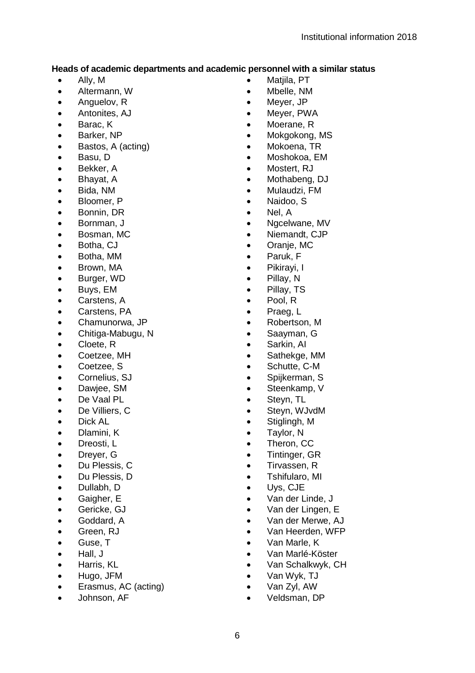# **Heads of academic departments and academic personnel with a similar status**<br>Ally M<br>Ally M

- Ally, M
- Altermann, W
- Anguelov, R
- Antonites, AJ
- Barac, K
- Barker, NP
- Bastos, A (acting)
- Basu, D
- Bekker, A
- Bhayat, A
- Bida, NM
- Bloomer, P
- Bonnin, DR
- Bornman, J
- Bosman, MC
- Botha, CJ
- Botha, MM
- Brown, MA
- Burger, WD
- Buys, EM
- Carstens, A
- Carstens, PA
- Chamunorwa, JP
- Chitiga-Mabugu, N
- Cloete, R
- Coetzee, MH
- Coetzee, S
- Cornelius, SJ
- Dawjee, SM
- De Vaal PL
- De Villiers, C
- Dick AL
- Dlamini, K
- Dreosti, L
- Dreyer, G
- Du Plessis, C
- Du Plessis, D
- Dullabh, D
- Gaigher, E
- Gericke, GJ
- Goddard, A
- Green, RJ
- Guse, T
- Hall, J
- Harris, KL
- Hugo, JFM
- Erasmus, AC (acting)
- Johnson, AF
- Matiila, PT
- Mbelle, NM
- Meyer, JP
- Meyer, PWA
- Moerane, R
- Mokgokong, MS
- Mokoena, TR
- Moshokoa, EM
- Mostert, RJ
- Mothabeng, DJ
- Mulaudzi, FM<br>• Naidoo, S
- Naidoo, S
- Nel, A<br>• Nacely
- Ngcelwane, MV
- Niemandt, CJP
- Oranje, MC
- Paruk, F
- Pikirayi, I
- Pillay, N
- Pillay, TS
- Pool, R
- Praeg, L<br>• Robertso
- Robertson, M
- Saayman, G
- Sarkin, Al<br>• Sathekge
- Sathekge, MM
- Schutte, C-M
- Spijkerman, S
- Steenkamp, V
- Steyn, TL
- Steyn, WJvdM
- Stiglingh, M
- Taylor, N
- Theron, CC
- Tintinger, GR
- Tirvassen, R
- Tshifularo, MI
- Uys, CJE
- Van der Linde, J
- Van der Lingen, E
- Van der Merwe, AJ
- Van Heerden, WFP
- Van Marle, K
- Van Marlé-Köster
- Van Schalkwyk, CH
- Van Wyk, TJ
- Van Zyl, AW
- Veldsman, DP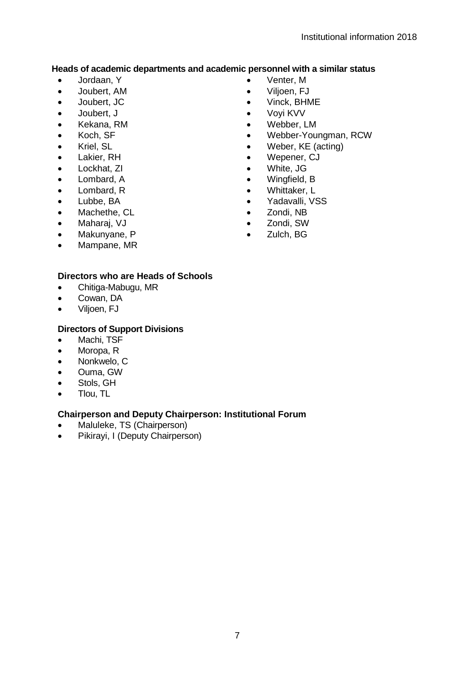# **Heads of academic departments and academic personnel with a similar status**<br> **Academic personnel with a similar status**

- Jordaan, Y
- Joubert, AM
- Joubert, JC
- Joubert, J
- Kekana, RM
- Koch, SF
- Kriel, SL
- Lakier, RH
- Lockhat, 7L
- Lombard, A
- Lombard, R
- Lubbe, BA
- Machethe, CL
- Maharaj, VJ
- Makunyane, P
- Mampane, MR

# **Directors who are Heads of Schools**

- Chitiga-Mabugu, MR
- Cowan, DA<br>• Vilioen F.I
- Viljoen, FJ

## **Directors of Support Divisions**

- Machi, TSF
- Moropa, R
- Nonkwelo, C
- Ouma, GW
- Stols, GH
- Tlou, TL

## **Chairperson and Deputy Chairperson: Institutional Forum**

- Maluleke, TS (Chairperson)
- Pikirayi, I (Deputy Chairperson)
- Venter, M<br>• Vilioen, FJ
- Viljoen, FJ<br>• Vinck, BHN
- Vinck, BHME
- Voyi KVV
- Webber, LM<br>• Webber-You
- Webber-Youngman, RCW
- Weber, KE (acting)
- Wepener, CJ<br>• White, JG
- White, JG
- Wingfield, B
- Whittaker, L<br>• Yadavalli, V
- Yadavalli, VSS
- Zondi, NB<br>• Zondi SW
- Zondi, SW<br>• Zulch BG
- Zulch, BG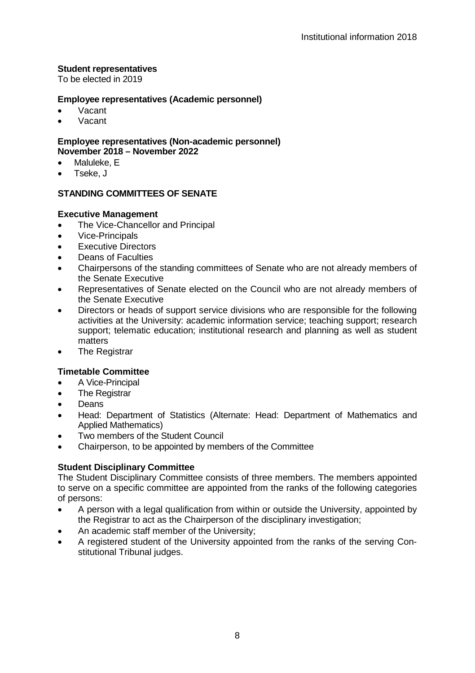### **Student representatives**

To be elected in 2019

#### **Employee representatives (Academic personnel)**

- Vacant
- Vacant

#### **Employee representatives (Non-academic personnel) November 2018 – November 2022**

- Maluleke, E
- Tseke, J

# **STANDING COMMITTEES OF SENATE**

#### **Executive Management**

- The Vice-Chancellor and Principal
- Vice-Principals
- **Executive Directors**
- Deans of Faculties
- Chairpersons of the standing committees of Senate who are not already members of the Senate Executive
- Representatives of Senate elected on the Council who are not already members of the Senate Executive
- Directors or heads of support service divisions who are responsible for the following activities at the University: academic information service; teaching support; research support; telematic education; institutional research and planning as well as student matters
- The Registrar

## **Timetable Committee**

- A Vice-Principal
- **The Registrar**
- Deans
- Head: Department of Statistics (Alternate: Head: Department of Mathematics and Applied Mathematics)
- Two members of the Student Council
- Chairperson, to be appointed by members of the Committee

## **Student Disciplinary Committee**

The Student Disciplinary Committee consists of three members. The members appointed to serve on a specific committee are appointed from the ranks of the following categories of persons:

- A person with a legal qualification from within or outside the University, appointed by the Registrar to act as the Chairperson of the disciplinary investigation;
- An academic staff member of the University;
- A registered student of the University appointed from the ranks of the serving Constitutional Tribunal judges.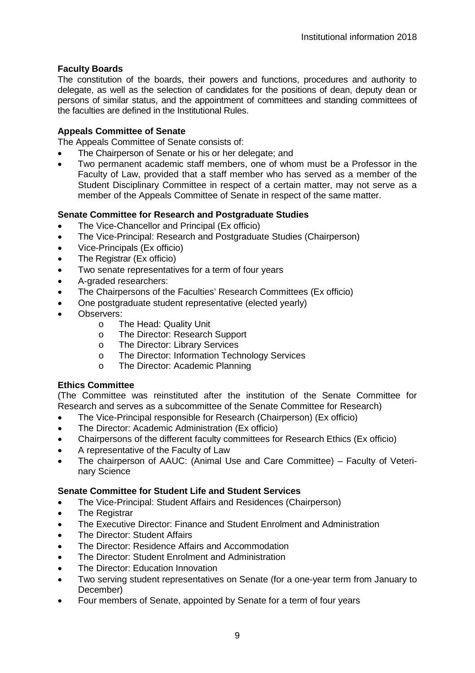## **Faculty Boards**

The constitution of the boards, their powers and functions, procedures and authority to delegate, as well as the selection of candidates for the positions of dean, deputy dean or persons of similar status, and the appointment of committees and standing committees of the faculties are defined in the Institutional Rules.

#### **Appeals Committee of Senate**

The Appeals Committee of Senate consists of:

- The Chairperson of Senate or his or her delegate; and
- Two permanent academic staff members, one of whom must be a Professor in the Faculty of Law, provided that a staff member who has served as a member of the Student Disciplinary Committee in respect of a certain matter, may not serve as a member of the Appeals Committee of Senate in respect of the same matter.

#### **Senate Committee for Research and Postgraduate Studies**

- The Vice-Chancellor and Principal (Ex officio)
- The Vice-Principal: Research and Postgraduate Studies (Chairperson)
- Vice-Principals (Ex officio)
- The Registrar (Ex officio)
- Two senate representatives for a term of four years
- A-graded researchers:
- The Chairpersons of the Faculties' Research Committees (Ex officio)
- One postgraduate student representative (elected yearly)
- Observers:<br>T
	- The Head: Quality Unit
	- o The Director: Research Support<br>
	o The Director: Library Services
	- o The Director: Library Services<br>
	o The Director: Information Tech
	- o The Director: Information Technology Services<br>
	O The Director: Academic Planning
	- The Director: Academic Planning

#### **Ethics Committee**

(The Committee was reinstituted after the institution of the Senate Committee for Research and serves as a subcommittee of the Senate Committee for Research)

- The Vice-Principal responsible for Research (Chairperson) (Ex officio)
- The Director: Academic Administration (Ex officio)
- Chairpersons of the different faculty committees for Research Ethics (Ex officio)
- A representative of the Faculty of Law
- The chairperson of AAUC: (Animal Use and Care Committee) Faculty of Veterinary Science

#### **Senate Committee for Student Life and Student Services**

- The Vice-Principal: Student Affairs and Residences (Chairperson)
- The Registrar
- The Executive Director: Finance and Student Enrolment and Administration
- The Director: Student Affairs
- The Director: Residence Affairs and Accommodation
- The Director: Student Enrolment and Administration
- The Director: Education Innovation
- Two serving student representatives on Senate (for a one-year term from January to December)
- Four members of Senate, appointed by Senate for a term of four years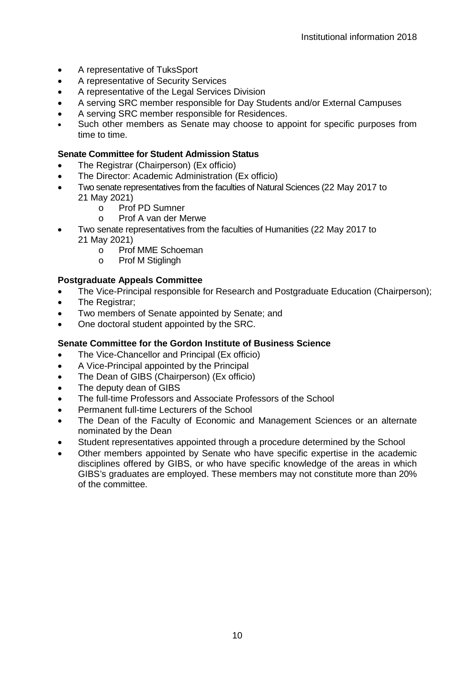- A representative of TuksSport
- A representative of Security Services
- A representative of the Legal Services Division
- A serving SRC member responsible for Day Students and/or External Campuses
- A serving SRC member responsible for Residences.
- Such other members as Senate may choose to appoint for specific purposes from time to time.

## **Senate Committee for Student Admission Status**

- The Registrar (Chairperson) (Ex officio)
- The Director: Academic Administration (Ex officio)
- Two senate representatives from the faculties of Natural Sciences (22 May 2017 to 21 May 2021)
	- o Prof PD Sumner<br>
	Record A van der M
	- o Prof A van der Merwe
- Two senate representatives from the faculties of Humanities (22 May 2017 to 21 May 2021)
	- o Prof MME Schoeman<br>
	o Prof M Stiglingh
	- Prof M Stiglingh

## **Postgraduate Appeals Committee**

- The Vice-Principal responsible for Research and Postgraduate Education (Chairperson);
- The Registrar:
- Two members of Senate appointed by Senate; and
- One doctoral student appointed by the SRC.

# **Senate Committee for the Gordon Institute of Business Science**

- The Vice-Chancellor and Principal (Ex officio)
- A Vice-Principal appointed by the Principal
- The Dean of GIBS (Chairperson) (Ex officio)
- The deputy dean of GIBS
- The full-time Professors and Associate Professors of the School
- Permanent full-time Lecturers of the School
- The Dean of the Faculty of Economic and Management Sciences or an alternate nominated by the Dean
- Student representatives appointed through a procedure determined by the School
- Other members appointed by Senate who have specific expertise in the academic disciplines offered by GIBS, or who have specific knowledge of the areas in which GIBS's graduates are employed. These members may not constitute more than 20% of the committee.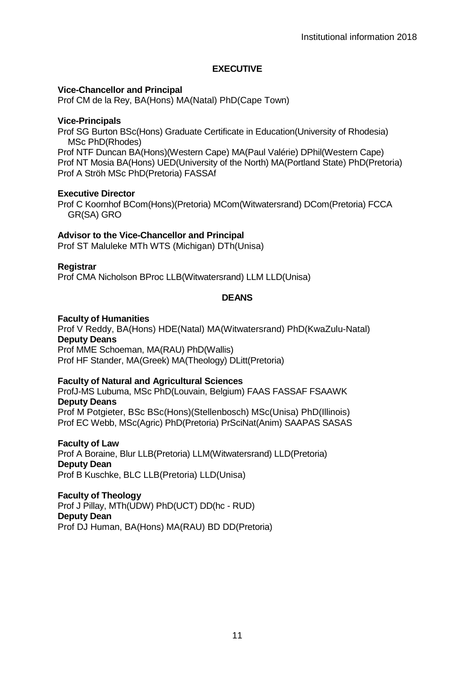## **EXECUTIVE**

#### **Vice-Chancellor and Principal**

Prof CM de la Rey, BA(Hons) MA(Natal) PhD(Cape Town)

#### **Vice-Principals**

Prof SG Burton BSc(Hons) Graduate Certificate in Education(University of Rhodesia) MSc PhD(Rhodes)

Prof NTF Duncan BA(Hons)(Western Cape) MA(Paul Valérie) DPhil(Western Cape) Prof NT Mosia BA(Hons) UED(University of the North) MA(Portland State) PhD(Pretoria) Prof A Ströh MSc PhD(Pretoria) FASSAf

#### **Executive Director**

Prof C Koornhof BCom(Hons)(Pretoria) MCom(Witwatersrand) DCom(Pretoria) FCCA GR(SA) GRO

#### **Advisor to the Vice-Chancellor and Principal**

Prof ST Maluleke MTh WTS (Michigan) DTh(Unisa)

#### **Registrar**

Prof CMA Nicholson BProc LLB(Witwatersrand) LLM LLD(Unisa)

#### **DEANS**

#### **Faculty of Humanities**

Prof V Reddy, BA(Hons) HDE(Natal) MA(Witwatersrand) PhD(KwaZulu-Natal) **Deputy Deans**  Prof MME Schoeman, MA(RAU) PhD(Wallis) Prof HF Stander, MA(Greek) MA(Theology) DLitt(Pretoria)

### **Faculty of Natural and Agricultural Sciences**

ProfJ-MS Lubuma, MSc PhD(Louvain, Belgium) FAAS FASSAF FSAAWK **Deputy Deans** Prof M Potgieter, BSc BSc(Hons)(Stellenbosch) MSc(Unisa) PhD(Illinois) Prof EC Webb, MSc(Agric) PhD(Pretoria) PrSciNat(Anim) SAAPAS SASAS

**Faculty of Law** Prof A Boraine, Blur LLB(Pretoria) LLM(Witwatersrand) LLD(Pretoria) **Deputy Dean** Prof B Kuschke, BLC LLB(Pretoria) LLD(Unisa)

**Faculty of Theology**  Prof J Pillay, MTh(UDW) PhD(UCT) DD(hc - RUD) **Deputy Dean**  Prof DJ Human, BA(Hons) MA(RAU) BD DD(Pretoria)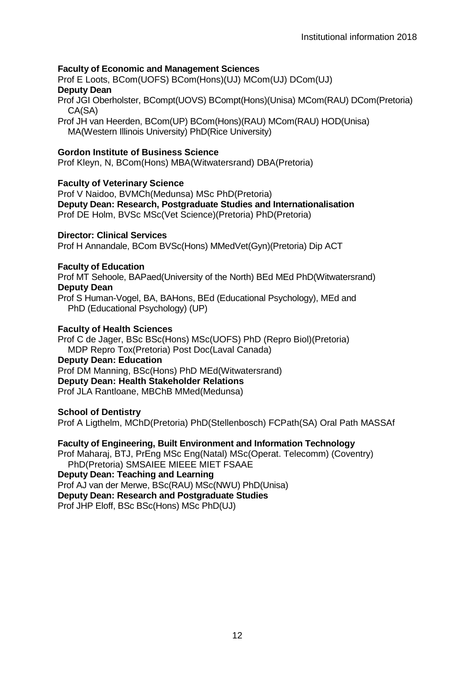## **Faculty of Economic and Management Sciences**

Prof E Loots, BCom(UOFS) BCom(Hons)(UJ) MCom(UJ) DCom(UJ) **Deputy Dean**

Prof JGI Oberholster, BCompt(UOVS) BCompt(Hons)(Unisa) MCom(RAU) DCom(Pretoria) CA(SA)

Prof JH van Heerden, BCom(UP) BCom(Hons)(RAU) MCom(RAU) HOD(Unisa) MA(Western Illinois University) PhD(Rice University)

#### **Gordon Institute of Business Science**

Prof Kleyn, N, BCom(Hons) MBA(Witwatersrand) DBA(Pretoria)

#### **Faculty of Veterinary Science**

Prof V Naidoo, BVMCh(Medunsa) MSc PhD(Pretoria) **Deputy Dean: Research, Postgraduate Studies and Internationalisation** Prof DE Holm, BVSc MSc(Vet Science)(Pretoria) PhD(Pretoria)

### **Director: Clinical Services**

Prof H Annandale, BCom BVSc(Hons) MMedVet(Gyn)(Pretoria) Dip ACT

#### **Faculty of Education**

Prof MT Sehoole, BAPaed(University of the North) BEd MEd PhD(Witwatersrand) **Deputy Dean**

Prof S Human-Vogel, BA, BAHons, BEd (Educational Psychology), MEd and PhD (Educational Psychology) (UP)

#### **Faculty of Health Sciences**

Prof C de Jager, BSc BSc(Hons) MSc(UOFS) PhD (Repro Biol)(Pretoria) MDP Repro Tox(Pretoria) Post Doc(Laval Canada) **Deputy Dean: Education** Prof DM Manning, BSc(Hons) PhD MEd(Witwatersrand) **Deputy Dean: Health Stakeholder Relations**

Prof JLA Rantloane, MBChB MMed(Medunsa)

**School of Dentistry**

Prof A Ligthelm, MChD(Pretoria) PhD(Stellenbosch) FCPath(SA) Oral Path MASSAf

#### **Faculty of Engineering, Built Environment and Information Technology**

Prof Maharaj, BTJ, PrEng MSc Eng(Natal) MSc(Operat. Telecomm) (Coventry) PhD(Pretoria) SMSAIEE MIEEE MIET FSAAE

**Deputy Dean: Teaching and Learning**

Prof AJ van der Merwe, BSc(RAU) MSc(NWU) PhD(Unisa)

**Deputy Dean: Research and Postgraduate Studies**

Prof JHP Eloff, BSc BSc(Hons) MSc PhD(UJ)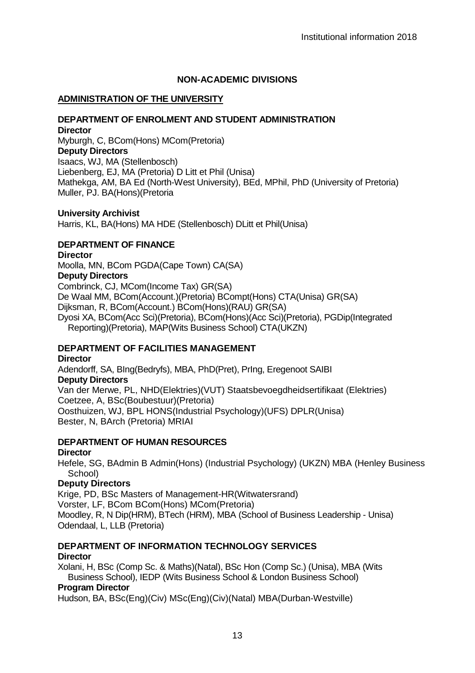### **NON-ACADEMIC DIVISIONS**

#### **ADMINISTRATION OF THE UNIVERSITY**

#### **DEPARTMENT OF ENROLMENT AND STUDENT ADMINISTRATION Director**

Myburgh, C, BCom(Hons) MCom(Pretoria) **Deputy Directors** Isaacs, WJ, MA (Stellenbosch) Liebenberg, EJ, MA (Pretoria) D Litt et Phil (Unisa) Mathekga, AM, BA Ed (North-West University), BEd, MPhil, PhD (University of Pretoria) Muller, PJ. BA(Hons)(Pretoria

#### **University Archivist**

Harris, KL, BA(Hons) MA HDE (Stellenbosch) DLitt et Phil(Unisa)

### **DEPARTMENT OF FINANCE**

#### **Director**

Moolla, MN, BCom PGDA(Cape Town) CA(SA) **Deputy Directors** Combrinck, CJ, MCom(Income Tax) GR(SA) De Waal MM, BCom(Account.)(Pretoria) BCompt(Hons) CTA(Unisa) GR(SA) Dijksman, R, BCom(Account.) BCom(Hons)(RAU) GR(SA) Dyosi XA, BCom(Acc Sci)(Pretoria), BCom(Hons)(Acc Sci)(Pretoria), PGDip(Integrated Reporting)(Pretoria), MAP(Wits Business School) CTA(UKZN)

## **DEPARTMENT OF FACILITIES MANAGEMENT**

**Director**

Adendorff, SA, BIng(Bedryfs), MBA, PhD(Pret), PrIng, Eregenoot SAIBI **Deputy Directors** Van der Merwe, PL, NHD(Elektries)(VUT) Staatsbevoegdheidsertifikaat (Elektries) Coetzee, A, BSc(Boubestuur)(Pretoria) Oosthuizen, WJ, BPL HONS(Industrial Psychology)(UFS) DPLR(Unisa) Bester, N, BArch (Pretoria) MRIAI

#### **DEPARTMENT OF HUMAN RESOURCES**

#### **Director**

Hefele, SG, BAdmin B Admin(Hons) (Industrial Psychology) (UKZN) MBA (Henley Business School)

#### **Deputy Directors**

Krige, PD, BSc Masters of Management-HR(Witwatersrand) Vorster, LF, BCom BCom(Hons) MCom(Pretoria) Moodley, R, N Dip(HRM), BTech (HRM), MBA (School of Business Leadership - Unisa) Odendaal, L, LLB (Pretoria)

## **DEPARTMENT OF INFORMATION TECHNOLOGY SERVICES Director**

Xolani, H, BSc (Comp Sc. & Maths)(Natal), BSc Hon (Comp Sc.) (Unisa), MBA (Wits Business School), IEDP (Wits Business School & London Business School)

## **Program Director**

Hudson, BA, BSc(Eng)(Civ) MSc(Eng)(Civ)(Natal) MBA(Durban-Westville)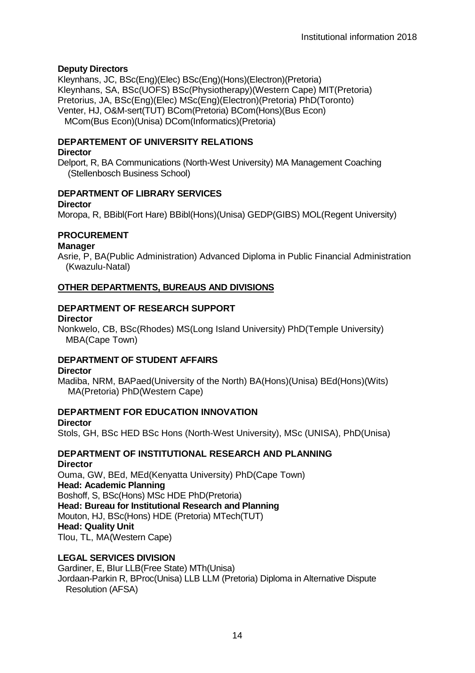## **Deputy Directors**

Kleynhans, JC, BSc(Eng)(Elec) BSc(Eng)(Hons)(Electron)(Pretoria) Kleynhans, SA, BSc(UOFS) BSc(Physiotherapy)(Western Cape) MIT(Pretoria) Pretorius, JA, BSc(Eng)(Elec) MSc(Eng)(Electron)(Pretoria) PhD(Toronto) Venter, HJ, O&M-sert(TUT) BCom(Pretoria) BCom(Hons)(Bus Econ) MCom(Bus Econ)(Unisa) DCom(Informatics)(Pretoria)

# **DEPARTEMENT OF UNIVERSITY RELATIONS**

## **Director**

Delport, R, BA Communications (North-West University) MA Management Coaching (Stellenbosch Business School)

# **DEPARTMENT OF LIBRARY SERVICES**

#### **Director**

Moropa, R, BBibl(Fort Hare) BBibl(Hons)(Unisa) GEDP(GIBS) MOL(Regent University)

# **PROCUREMENT**

## **Manager**

Asrie, P, BA(Public Administration) Advanced Diploma in Public Financial Administration (Kwazulu-Natal)

## **OTHER DEPARTMENTS, BUREAUS AND DIVISIONS**

# **DEPARTMENT OF RESEARCH SUPPORT**

## **Director**

Nonkwelo, CB, BSc(Rhodes) MS(Long Island University) PhD(Temple University) MBA(Cape Town)

# **DEPARTMENT OF STUDENT AFFAIRS**

## **Director**

Madiba, NRM, BAPaed(University of the North) BA(Hons)(Unisa) BEd(Hons)(Wits) MA(Pretoria) PhD(Western Cape)

# **DEPARTMENT FOR EDUCATION INNOVATION**

## **Director**

Stols, GH, BSc HED BSc Hons (North-West University), MSc (UNISA), PhD(Unisa)

#### **DEPARTMENT OF INSTITUTIONAL RESEARCH AND PLANNING Director**

Ouma, GW, BEd, MEd(Kenyatta University) PhD(Cape Town) **Head: Academic Planning** Boshoff, S, BSc(Hons) MSc HDE PhD(Pretoria) **Head: Bureau for Institutional Research and Planning** Mouton, HJ, BSc(Hons) HDE (Pretoria) MTech(TUT) **Head: Quality Unit** Tlou, TL, MA(Western Cape)

## **LEGAL SERVICES DIVISION**

Gardiner, E, BIur LLB(Free State) MTh(Unisa) Jordaan-Parkin R, BProc(Unisa) LLB LLM (Pretoria) Diploma in Alternative Dispute Resolution (AFSA)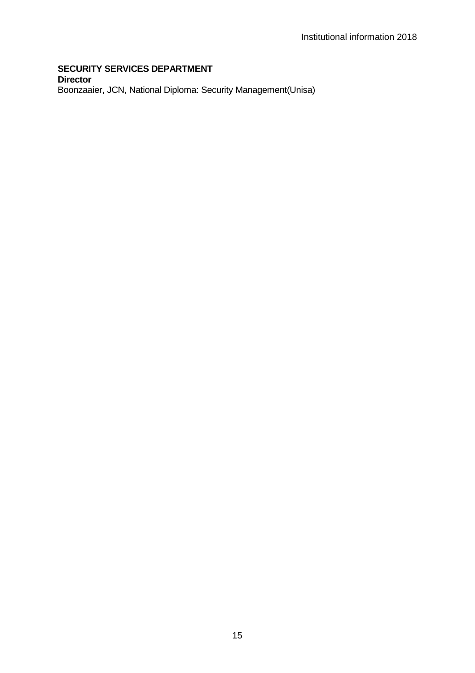### **SECURITY SERVICES DEPARTMENT Director** Boonzaaier, JCN, National Diploma: Security Management(Unisa)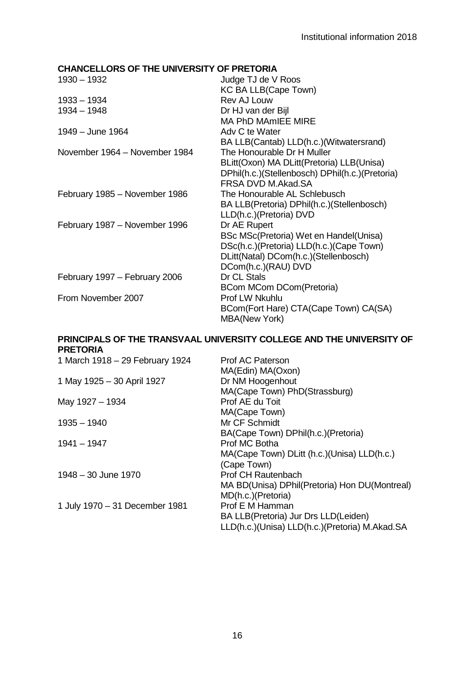# **CHANCELLORS OF THE UNIVERSITY OF PRETORIA**

| 1930 - 1932                   | Judge TJ de V Roos                                            |
|-------------------------------|---------------------------------------------------------------|
|                               | KC BA LLB(Cape Town)                                          |
| 1933 - 1934                   | Rev AJ Louw                                                   |
| 1934 - 1948                   | Dr HJ van der Bijl                                            |
|                               | MA PhD MAmIFF MIRF                                            |
| 1949 – June 1964              | Adv C te Water                                                |
|                               | BA LLB(Cantab) LLD(h.c.)(Witwatersrand)                       |
| November 1964 - November 1984 | The Honourable Dr H Muller                                    |
|                               | BLitt(Oxon) MA DLitt(Pretoria) LLB(Unisa)                     |
|                               | DPhil(h.c.)(Stellenbosch) DPhil(h.c.)(Pretoria)               |
|                               | FRSA DVD M.Akad.SA                                            |
| February 1985 - November 1986 | The Honourable AL Schlebusch                                  |
|                               | BA LLB(Pretoria) DPhil(h.c.)(Stellenbosch)                    |
|                               | LLD(h.c.)(Pretoria) DVD                                       |
| February 1987 - November 1996 | Dr AE Rupert                                                  |
|                               | BSc MSc(Pretoria) Wet en Handel(Unisa)                        |
|                               | DSc(h.c.)(Pretoria) LLD(h.c.)(Cape Town)                      |
|                               | DLitt(Natal) DCom(h.c.)(Stellenbosch)                         |
|                               | DCom(h.c.)(RAU) DVD                                           |
| February 1997 - February 2006 | Dr CL Stals                                                   |
|                               | BCom MCom DCom(Pretoria)                                      |
| From November 2007            | Prof LW Nkuhlu                                                |
|                               | BCom(Fort Hare) CTA(Cape Town) CA(SA)<br><b>MBA(New York)</b> |

## **PRINCIPALS OF THE TRANSVAAL UNIVERSITY COLLEGE AND THE UNIVERSITY OF PRETORIA**

| 1 March 1918 - 29 February 1924 | Prof AC Paterson                               |
|---------------------------------|------------------------------------------------|
|                                 | MA(Edin) MA(Oxon)                              |
| 1 May 1925 - 30 April 1927      | Dr NM Hoogenhout                               |
|                                 | MA(Cape Town) PhD(Strassburg)                  |
| May 1927 - 1934                 | Prof AE du Toit                                |
|                                 | MA(Cape Town)                                  |
| $1935 - 1940$                   | Mr CF Schmidt                                  |
|                                 | BA(Cape Town) DPhil(h.c.)(Pretoria)            |
| $1941 - 1947$                   | Prof MC Botha                                  |
|                                 | MA(Cape Town) DLitt (h.c.) (Unisa) LLD(h.c.)   |
|                                 | (Cape Town)                                    |
| 1948 - 30 June 1970             | Prof CH Rautenbach                             |
|                                 | MA BD(Unisa) DPhil(Pretoria) Hon DU(Montreal)  |
|                                 | MD(h.c.)(Pretoria)                             |
| 1 July 1970 - 31 December 1981  | Prof E M Hamman                                |
|                                 | BA LLB(Pretoria) Jur Drs LLD(Leiden)           |
|                                 | LLD(h.c.)(Unisa) LLD(h.c.)(Pretoria) M.Akad.SA |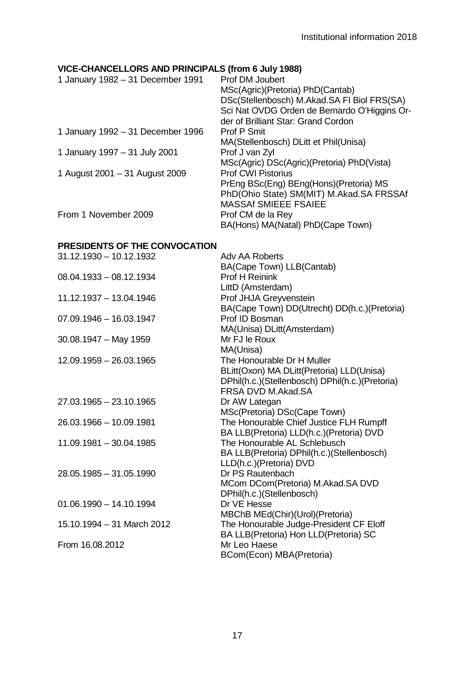# **VICE-CHANCELLORS AND PRINCIPALS (from 6 July 1988)**

| 1 January 1982 - 31 December 1991 | Prof DM Joubert                              |
|-----------------------------------|----------------------------------------------|
|                                   | MSc(Agric)(Pretoria) PhD(Cantab)             |
|                                   | DSc(Stellenbosch) M.Akad.SA FI Biol FRS(SA)  |
|                                   | Sci Nat OVDG Orden de Bernardo O'Higgins Or- |
|                                   | der of Brilliant Star: Grand Cordon          |
| 1 January 1992 - 31 December 1996 | Prof P Smit                                  |
|                                   | MA(Stellenbosch) DLitt et Phil(Unisa)        |
| 1 January 1997 - 31 July 2001     | Prof J van Zyl                               |
|                                   | MSc(Agric) DSc(Agric)(Pretoria) PhD(Vista)   |
| 1 August 2001 - 31 August 2009    | <b>Prof CWI Pistorius</b>                    |
|                                   | PrEng BSc(Eng) BEng(Hons)(Pretoria) MS       |
|                                   | PhD(Ohio State) SM(MIT) M.Akad.SA FRSSAf     |
|                                   | <b>MASSAf SMIEEE FSAIEE</b>                  |
| From 1 November 2009              | Prof CM de la Rey                            |
|                                   | BA(Hons) MA(Natal) PhD(Cape Town)            |
|                                   |                                              |

# **PRESIDENTS OF THE CONVOCATION**

| 31.12.1930 - 10.12.1932    | Adv AA Roberts                                  |
|----------------------------|-------------------------------------------------|
|                            | BA(Cape Town) LLB(Cantab)                       |
| $08.04.1933 - 08.12.1934$  | Prof H Reinink                                  |
|                            | LittD (Amsterdam)                               |
| 11.12.1937 - 13.04.1946    | Prof JHJA Greyvenstein                          |
|                            | BA(Cape Town) DD(Utrecht) DD(h.c.)(Pretoria)    |
| $07.09.1946 - 16.03.1947$  | Prof ID Bosman                                  |
|                            | MA(Unisa) DLitt(Amsterdam)                      |
| $30.08.1947 - May 1959$    | Mr FJ le Roux                                   |
|                            | MA(Unisa)                                       |
| 12.09.1959 - 26.03.1965    | The Honourable Dr H Muller                      |
|                            | BLitt(Oxon) MA DLitt(Pretoria) LLD(Unisa)       |
|                            | DPhil(h.c.)(Stellenbosch) DPhil(h.c.)(Pretoria) |
|                            | FRSA DVD M.Akad.SA                              |
| 27.03.1965 - 23.10.1965    | Dr AW Lategan                                   |
|                            | MSc(Pretoria) DSc(Cape Town)                    |
| 26.03.1966 - 10.09.1981    | The Honourable Chief Justice FLH Rumpff         |
|                            | BA LLB(Pretoria) LLD(h.c.)(Pretoria) DVD        |
| 11.09.1981 - 30.04.1985    | The Honourable AL Schlebusch                    |
|                            | BA LLB(Pretoria) DPhil(h.c.)(Stellenbosch)      |
|                            | LLD(h.c.)(Pretoria) DVD                         |
| 28.05.1985 - 31.05.1990    | Dr PS Rautenbach                                |
|                            | MCom DCom(Pretoria) M.Akad.SA DVD               |
|                            | DPhil(h.c.)(Stellenbosch)                       |
| $01.06.1990 - 14.10.1994$  | Dr VE Hesse                                     |
|                            | MBChB MEd(Chir)(Urol)(Pretoria)                 |
| 15.10.1994 - 31 March 2012 | The Honourable Judge-President CF Eloff         |
|                            | BA LLB(Pretoria) Hon LLD(Pretoria) SC           |
| From 16.08.2012            | Mr Leo Haese                                    |
|                            | BCom(Econ) MBA(Pretoria)                        |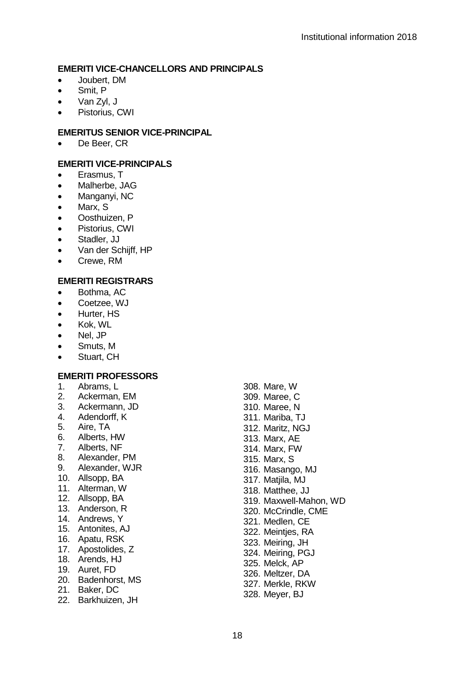#### **EMERITI VICE-CHANCELLORS AND PRINCIPALS**

- Joubert, DM
- Smit, P
- Van Zyl, J
- Pistorius, CWI

# **EMERITUS SENIOR VICE-PRINCIPAL**

• De Beer, CR

# **EMERITI VICE-PRINCIPALS**

- Erasmus, T
- Malherbe, JAG
- Manganyi, NC
- Marx, S
- Oosthuizen, P
- Pistorius, CWI
- Stadler, JJ
- Van der Schiiff, HP
- Crewe, RM

# **EMERITI REGISTRARS**

- Bothma, AC
- Coetzee, WJ
- Hurter, HS
- Kok, WL
- Nel, JP
- Smuts, M
- Stuart, CH

## **EMERITI PROFESSORS**

- 1. Abrams, L
- 2. Ackerman, EM
- 3. Ackermann, JD
- 4. Adendorff, K
- 5. Aire, TA
- 6. Alberts, HW
- 7. Alberts, NF
- 8. Alexander, PM<br>9. Alexander, W.JF
- 9. Alexander, WJR
- 10. Allsopp, BA
- 11. Alterman, W
- 12. Allsopp, BA
- 13. Anderson, R
- 14. Andrews, Y
- 15. Antonites, AJ
- 16. Apatu, RSK
- 17. Apostolides, Z
- 18. Arends, HJ
- 19. Auret, FD
- 20. Badenhorst, MS
- 21. Baker, DC
- 22. Barkhuizen, JH

308. Mare, W 309. Maree, C 310. Maree, N 311. Mariba, TJ 312. Maritz, NGJ 313. Marx, AE 314. Marx, FW 315. Marx, S 316. Masango, MJ 317. Matiila, MJ 318. Matthee, JJ 319. Maxwell-Mahon, WD 320. McCrindle, CME 321. Medlen, CE 322. Meintjes, RA 323. Meiring, JH 324. Meiring, PGJ 325. Melck, AP 326. Meltzer, DA 327. Merkle, RKW 328. Meyer, BJ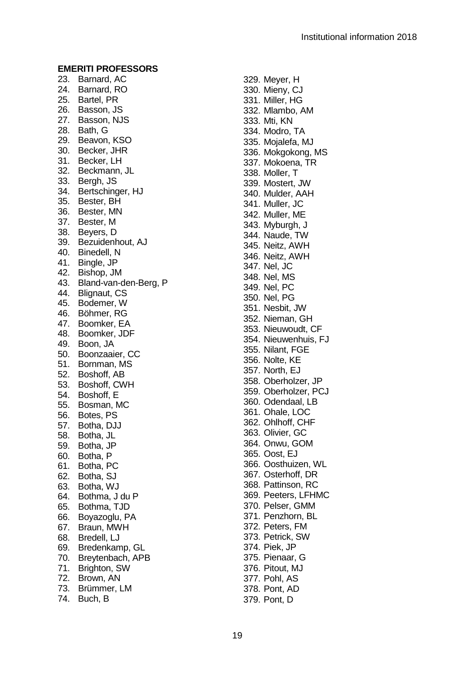23. Barnard, AC 24. Barnard, RO 25. Bartel, PR 26. Basson, JS 27. Basson, NJS 28. Bath, G 29. Beavon, KSO 30. Becker, JHR 31. Becker, LH 32. Beckmann, JL 33. Bergh, JS 34. Bertschinger, HJ 35. Bester, BH 36. Bester, MN 37. Bester, M 38. Beyers, D 39. Bezuidenhout, AJ 40. Binedell, N 41. Bingle, JP 42. Bishop, JM 43. Bland -van -den -Berg, P 44. Blignaut, CS 45. Bodemer, W 46. Böhmer, RG 47. Boomker, EA 48. Boomker, JDF 49. Boon, JA 50. Boonzaaier, CC 51. Bornman, MS 52. Boshoff, AB 53. Boshoff, CWH 54. Boshoff, E 55. Bosman, MC 56. Botes, PS 57. Botha, DJJ 58. Botha, JL 59. Botha, JP 60. Botha, P 61. Botha, PC 62. Botha, SJ 63. Botha, WJ 64. Bothma, J du P 65. Bothma, TJD 66. Boyazoglu, PA 67. Braun, MWH 68. Bredell, LJ 69. Bredenkamp, GL 70. Breytenbach, APB 71. Brighton, SW 72. Brown, AN 73. Brümmer, LM

74. Buch, B

329. Meyer, H 330. Mieny, CJ 331. Miller, HG 332. Mlambo, AM 333. Mti, KN 334. Modro, TA 335. Mojalefa, MJ 336. Mokgokong, MS 337. Mokoena, TR 338. Moller, T 339. Mostert, JW 340. Mulder, AAH 341. Muller, JC 342. Muller, ME 343. Myburgh, J 344. Naude, TW 345. Neitz, AWH 346. Neitz, AWH 347. Nel, JC 348. Nel, MS 349. Nel, PC 350. Nel, PG 351. Nesbit, JW 352. Nieman, GH 353. Nieuwoudt, CF 354. Nieuwenhuis, FJ 355. Nilant, FGE 356. Nolte, KE 357. North, EJ 358. Oberholzer, JP 359. Oberholzer, PCJ 360. Odendaal, LB 361. Ohale, LOC 362. Ohlhoff, CHF 363. Olivier, GC 364. Onwu, GOM 365. Oost, EJ 366. Oosthuizen, WL 367. Osterhoff, DR 368. Pattinson, RC 369. Peeters, LFHMC 370. Pelser, GMM 371. Penzhorn, BL 372. Peters, FM 373. Petrick, SW 374. Piek, JP 375. Pienaar, G 376. Pitout, MJ 377. Pohl, AS 378. Pont, AD

379. Pont, D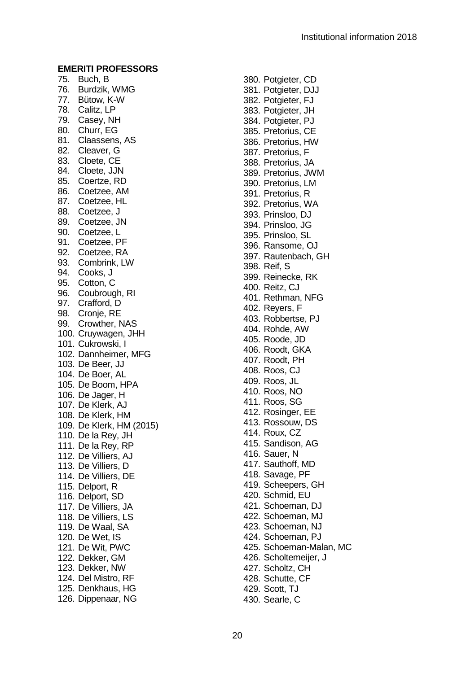75. Buch, B 76. Burdzik, WMG 77. Bütow, K - W 78. Calitz, LP 79. Casey, NH 80. Churr, EG 81. Claassens, AS 82. Cleaver, G 83. Cloete, CE 84. Cloete, JJN 85. Coertze, RD 86. Coetzee, AM 87. Coetzee, HL 88. Coetzee, J 89. Coetzee, JN 90. Coetzee, L 91. Coetzee, PF 92. Coetzee, RA 93. Combrink, LW 94. Cooks, J 95. Cotton, C 96. Coubrough, RI 97. Crafford, D 98. Cronie, RE 99. Crowther, NAS 100. Cruywagen, JHH 101. Cukrowski, I 102. Dannheimer, MFG 103. De Beer, JJ 104. De Boer, AL 105. De Boom, HPA 106. De Jager, H 107. De Klerk, AJ 108. De Klerk, HM 109. De Klerk, HM (2015) 110. De la Rey, JH 111. De la Rey, RP 112. De Villiers, AJ 113. De Villiers, D 114. De Villiers, DE 115. Delport, R 116. Delport, SD 117. De Villiers, JA 118. De Villiers, LS 119. De Waal, SA 120. De Wet, IS 121. De Wit, PWC 122. Dekker, GM 123. Dekker, NW 124. Del Mistro, RF 125. Denkhaus, HG 126. Dippenaar, NG

380. Potgieter, CD 381. Potgieter, DJJ 382. Potgieter, FJ 383. Potgieter, JH 384. Potgieter, PJ 385. Pretorius, CE 386. Pretorius, HW 387. Pretorius, F 388. Pretorius, JA 389. Pretorius, JWM 390. Pretorius, LM 391. Pretorius, R 392. Pretorius, WA 393. Prinsloo, DJ 394. Prinsloo, JG 395. Prinsloo, SL 396. Ransome, OJ 397. Rautenbach, GH 398. Reif, S 399. Reinecke, RK 400. Reitz, CJ 401. Rethman, NFG 402. Reyers, F 403. Robbertse, PJ 404. Rohde, AW 405. Roode, JD 406. Roodt, GKA 407. Roodt, PH 408. Roos, CJ 409. Roos, JL 410. Roos, NO 411. Roos, SG 412. Rosinger, EE 413. Rossouw, DS 414. Roux, CZ 415. Sandison, AG 416. Sauer, N 417. Sauthoff, MD 418. Savage, PF 419. Scheepers, GH 420. Schmid, EU 421. Schoeman, DJ 422. Schoeman, MJ 423. Schoeman, NJ 424. Schoeman, PJ 425. Schoeman -Malan, MC 426. Scholtemeijer, J 427. Scholtz, CH 428. Schutte, CF 429. Scott, TJ 430. Searle, C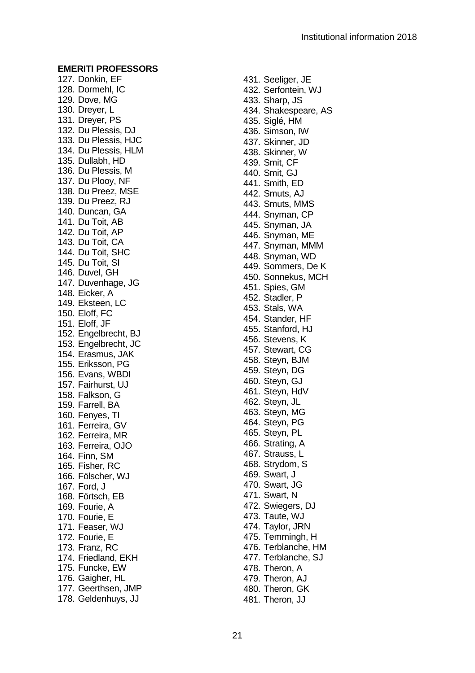127. Donkin, EF 128. Dormehl, IC 129. Dove, MG 130. Dreyer, L 131. Dreyer, PS 132. Du Plessis, DJ 133. Du Plessis, HJC 134. Du Plessis, HLM 135. Dullabh, HD 136. Du Plessis, M 137. Du Plooy, NF 138. Du Preez, MSE 139. Du Preez, RJ 140. Duncan, GA 141. Du Toit, AB 142. Du Toit, AP 143. Du Toit, CA 144. Du Toit, SHC 145. Du Toit, SI 146. Duvel, GH 147. Duvenhage, JG 148. Eicker, A 149. Eksteen, LC 150. Eloff, FC 151. Eloff, JF 152. Engelbrecht, BJ 153. Engelbrecht, JC 154. Erasmus, JAK 155. Eriksson, PG 156. Evans, WBDI 157. Fairhurst, UJ 158. Falkson, G 159. Farrell, BA 160. Fenyes, TI 161. Ferreira, GV 162. Ferreira, MR 163. Ferreira, OJO 164. Finn, SM 165. Fisher, RC 166. Fölscher, WJ 167. Ford, J 168. Förtsch, EB 169. Fourie, A 170. Fourie, E 171. Feaser, WJ 172. Fourie, E 173. Franz, RC 174. Friedland, EKH 175. Funcke, EW 176. Gaigher, HL 177. Geerthsen, JMP 178. Geldenhuys, JJ

431. Seeliger, JE 432. Serfontein, WJ 433. Sharp, JS 434. Shakespeare , AS 435. Siglé, HM 436. Simson, IW 437. Skinner, JD 438. Skinner, W 439. Smit, CF 440. Smit, GJ 441. Smith, ED 442. Smuts, AJ 443. Smuts, MMS 444. Snyman, CP 445. Snyman, JA 446. Snyman, ME 447. Snyman, MMM 448. Snyman, WD 449. Sommers, De K 450. Sonnekus, MCH 451. Spies, GM 452. Stadler, P 453. Stals, WA 454. Stander, HF 455. Stanford, HJ 456. Stevens, K 457. Stewart, CG 458. Steyn, BJM 459. Steyn, DG 460. Steyn, GJ 461. Steyn, HdV 462. Steyn, JL 463. Steyn, MG 464. Steyn, PG 465. Steyn, PL 466. Strating, A 467. Strauss, L 468. Strydom, S 469. Swart, J 470. Swart, JG 471. Swart, N 472. Swiegers, DJ 473. Taute, WJ 474. Taylor, JRN 475. Temmingh, H 476. Terblanche, HM 477. Terblanche, SJ 478. Theron, A 479. Theron, AJ 480. Theron, GK 481. Theron, JJ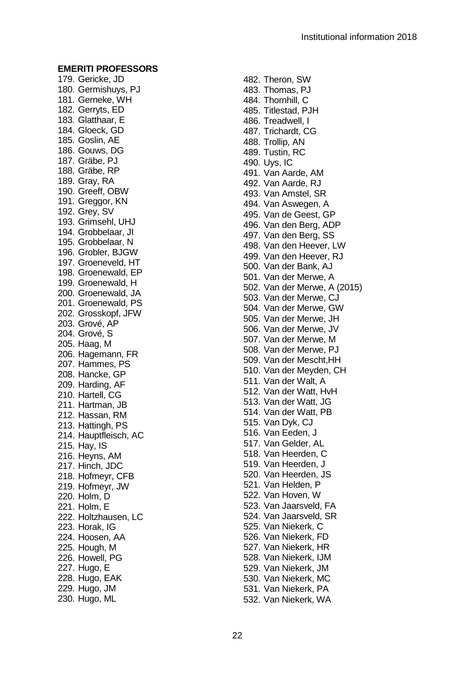179. Gericke, JD 180. Germishuys, PJ 181. Gerneke, WH 182. Gerryts, ED 183. Glatthaar, E 184. Gloeck, GD 185. Goslin, AE 186. Gouws, DG 187. Gräbe, PJ 188. Gräbe, RP 189. Gray, RA 190. Greeff, OBW 191. Greggor, KN 192. Grey, SV 193. Grimsehl, UHJ 194. Grobbelaar, JI 195. Grobbelaar, N 196. Grobler, BJGW 197. Groeneveld, HT 198. Groenewald, EP 199. Groenewald, H 200. Groenewald, JA 201. Groenewald, PS 202. Grosskopf, JFW 203. Grové, AP 204. Grové, S 205. Haag, M 206. Hagemann, FR 207. Hammes, PS 208. Hancke, GP 209. Harding, AF 210. Hartell, CG 211. Hartman, JB 212. Hassan, RM 213. Hattingh, PS 214. Hauptfleisch, AC 215. Hay, IS 216. Heyns, AM 217. Hinch, JDC 218. Hofmeyr, CFB 219. Hofmeyr, JW 220. Holm, D 221. Holm, E 222. Holtzhausen, LC 223. Horak, IG 224. Hoosen, AA 225. Hough, M 226. Howell, PG 227. Hugo, E 228. Hugo, EAK 229. Hugo, JM 230. Hugo, ML

482. Theron, SW 483. Thomas, PJ 484. Thornhill, C 485. Titlestad, PJH 486. Treadwell, I 487. Trichardt, CG 488. Trollip, AN 489. Tustin, RC 490. Uys, IC 491. Van Aarde, AM 492. Van Aarde, RJ 493. Van Amstel, SR 494. Van Aswegen, A 495. Van de Geest, GP 496. Van den Berg, ADP 497. Van den Berg, SS 498. Van den Heever, LW 499. Van den Heever, RJ 500. Van der Bank, AJ 501. Van der Merwe, A 502. Van der Merwe, A (2015) 503. Van der Merwe, CJ 504. Van der Merwe, GW 505. Van der Merwe, JH 506. Van der Merwe, JV 507. Van der Merwe, M 508. Van der Merwe, PJ 509. Van der Mescht,HH 510. Van der Meyden, CH 511. Van der Walt, A 512. Van der Watt, HvH 513. Van der Watt, JG 514. Van der Watt, PB 515. Van Dyk, CJ 516. Van Eeden, J 517. Van Gelder, AL 518. Van Heerden, C 519. Van Heerden, J 520. Van Heerden, JS 521. Van Helden, P 522. Van Hoven, W 523. Van Jaarsveld, FA 524. Van Jaarsveld, SR 525. Van Niekerk, C 526. Van Niekerk, FD 527. Van Niekerk, HR 528. Van Niekerk, IJM 529. Van Niekerk, JM 530. Van Niekerk, MC 531. Van Niekerk, PA 532. Van Niekerk, WA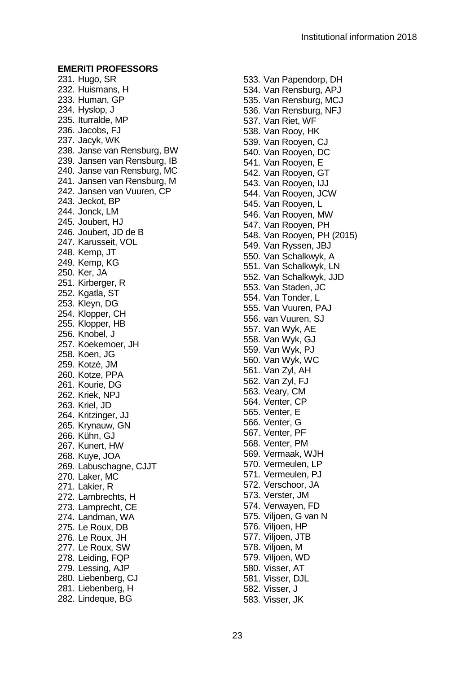231. Hugo, SR 232. Huismans, H 233. Human, GP 234. Hyslop, J 235. Iturralde, MP 236. Jacobs, FJ 237. Jacyk, WK 238. Janse van Rensburg, BW 239. Jansen van Rensburg, IB 240. Janse van Rensburg, MC 241. Jansen van Rensburg, M 242. Jansen van Vuuren, CP 243. Jeckot, BP 244. Jonck, LM 245. Joubert, HJ 246. Joubert, JD de B 247. Karusseit, VOL 248. Kemp, JT 249. Kemp, KG 250. Ker, JA 251. Kirberger, R 252. Kgatla, ST 253. Kleyn, DG 254. Klopper, CH 255. Klopper, HB 256. Knobel, J 257. Koekemoer, JH 258. Koen, JG 259. Kotzé, JM 260. Kotze, PPA 261. Kourie, DG 262. Kriek, NPJ 263. Kriel, JD 264. Kritzinger, JJ 265. Krynauw, GN 266. Kühn, GJ 267. Kunert, HW 268. Kuye, JOA 269. Labuschagne, CJJT 270. Laker, MC 271. Lakier, R 272. Lambrechts, H 273. Lamprecht, CE 274. Landman, WA 275. Le Roux, DB 276. Le Roux, JH 277. Le Roux, SW 278. Leiding, FQP 279. Lessing, AJP 280. Liebenberg, CJ 281. Liebenberg, H 282. Lindeque, BG

533. Van Papendorp, DH 534. Van Rensburg, APJ 535. Van Rensburg, MCJ 536. Van Rensburg, NFJ 537. Van Riet, WF 538. Van Rooy, HK 539. Van Rooyen, CJ 540. Van Rooyen, DC 541. Van Rooyen, E 542. Van Rooyen, GT 543. Van Rooyen, IJJ 544. Van Rooyen, JCW 545. Van Rooyen, L 546. Van Rooyen, MW 547. Van Rooyen, PH 548. Van Rooyen, PH (2015) 549. Van Ryssen, JBJ 550. Van Schalkwyk, A 551. Van Schalkwyk, LN 552. Van Schalkwyk, JJD 553. Van Staden, JC 554. Van Tonder, L 555. Van Vuuren, PAJ 556. van Vuuren, SJ 557. Van Wyk, AE 558. Van Wyk, GJ 559. Van Wyk, PJ 560. Van Wyk, WC 561. Van Zyl, AH 562. Van Zyl, FJ 563. Veary, CM 564. Venter, CP 565. Venter, E 566. Venter, G 567. Venter, PF 568. Venter, PM 569. Vermaak, WJH 570. Vermeulen, LP 571. Vermeulen, PJ 572. Verschoor, JA 573. Verster, JM 574. Verwayen, FD 575. Viljoen, G van N 576. Viljoen, HP 577. Viljoen, JTB 578. Viljoen, M 579. Viljoen, WD 580. Visser, AT 581. Visser, DJL 582. Visser, J 583. Visser, JK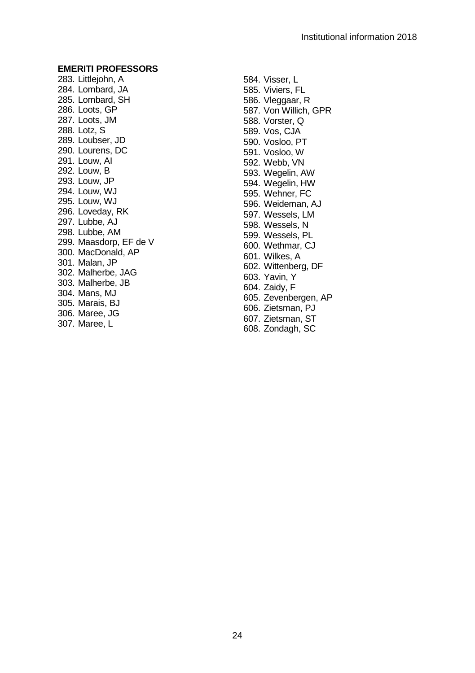283. Littlejohn, A 284. Lombard, JA 285. Lombard, SH 286. Loots, GP 287. Loots, JM 288. Lotz, S 289. Loubser, JD 290. Lourens, DC 291. Louw, AI 292. Louw, B 293. Louw, JP 294. Louw, WJ 295. Louw, WJ 296. Loveday, RK 297. Lubbe, AJ 298. Lubbe, AM 299. Maasdorp, EF de V 300. MacDonald, AP 301. Malan, JP 302. Malherbe, JAG 303. Malherbe, JB 304. Mans, MJ 305. Marais, BJ 306. Maree, JG 307. Maree, L

584. Visser, L 585. Viviers, FL 586. Vleggaar, R 587. Von Willich, GPR 588. Vorster, Q 589. Vos, CJA 590. Vosloo, PT 591. Vosloo, W 592. Webb, VN 593. Wegelin, AW 594. Wegelin, HW 595. Wehner, FC 596. Weideman, AJ 597. Wessels, LM 598. Wessels, N 599. Wessels, PL 600. Wethmar, CJ 601. Wilkes, A 602. Wittenberg, DF 603. Yavin, Y 604. Zaidy, F 605. Zevenbergen, AP 606. Zietsman, PJ 607. Zietsman, ST 608. Zondagh, SC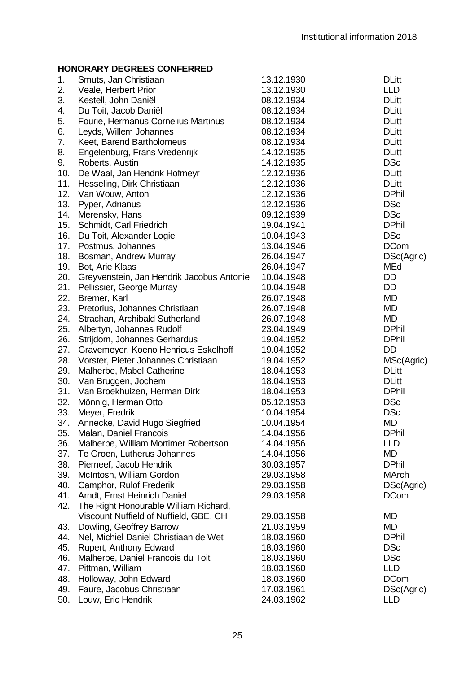| 1.  | Smuts, Jan Christiaan                     | 13.12.1930 | <b>DLitt</b> |
|-----|-------------------------------------------|------------|--------------|
| 2.  | Veale, Herbert Prior                      | 13.12.1930 | <b>LLD</b>   |
| 3.  | Kestell, John Daniël                      | 08.12.1934 | <b>DLitt</b> |
| 4.  | Du Toit, Jacob Daniël                     | 08.12.1934 | <b>DLitt</b> |
| 5.  | Fourie, Hermanus Cornelius Martinus       | 08.12.1934 | <b>DLitt</b> |
| 6.  | Leyds, Willem Johannes                    | 08.12.1934 | <b>DLitt</b> |
| 7.  | Keet, Barend Bartholomeus                 | 08.12.1934 | <b>DLitt</b> |
| 8.  | Engelenburg, Frans Vredenrijk             | 14.12.1935 | <b>DLitt</b> |
| 9.  | Roberts, Austin                           | 14.12.1935 | <b>DSc</b>   |
| 10. | De Waal, Jan Hendrik Hofmeyr              | 12.12.1936 | <b>DLitt</b> |
| 11. | Hesseling, Dirk Christiaan                | 12.12.1936 | <b>DLitt</b> |
| 12. | Van Wouw, Anton                           | 12.12.1936 | <b>DPhil</b> |
| 13. | Pyper, Adrianus                           | 12.12.1936 | <b>DSc</b>   |
| 14. | Merensky, Hans                            | 09.12.1939 | <b>DSc</b>   |
| 15. | Schmidt, Carl Friedrich                   | 19.04.1941 | <b>DPhil</b> |
| 16. | Du Toit, Alexander Logie                  | 10.04.1943 | <b>DSc</b>   |
| 17. | Postmus, Johannes                         | 13.04.1946 | <b>DCom</b>  |
| 18. | Bosman, Andrew Murray                     | 26.04.1947 | DSc(Agric)   |
| 19. | Bot, Arie Klaas                           | 26.04.1947 | MEd          |
| 20. | Greyvenstein, Jan Hendrik Jacobus Antonie | 10.04.1948 | DD           |
| 21. | Pellissier, George Murray                 | 10.04.1948 | DD           |
| 22. | Bremer, Karl                              | 26.07.1948 | <b>MD</b>    |
| 23. | Pretorius, Johannes Christiaan            | 26.07.1948 | <b>MD</b>    |
| 24. | Strachan, Archibald Sutherland            | 26.07.1948 | <b>MD</b>    |
| 25. | Albertyn, Johannes Rudolf                 | 23.04.1949 | <b>DPhil</b> |
| 26. | Strijdom, Johannes Gerhardus              | 19.04.1952 | <b>DPhil</b> |
| 27. | Gravemeyer, Koeno Henricus Eskelhoff      | 19.04.1952 | DD           |
| 28. | Vorster, Pieter Johannes Christiaan       | 19.04.1952 | MSc(Agric)   |
| 29. | Malherbe, Mabel Catherine                 | 18.04.1953 | <b>DLitt</b> |
| 30. | Van Bruggen, Jochem                       | 18.04.1953 | <b>DLitt</b> |
| 31. | Van Broekhuizen, Herman Dirk              | 18.04.1953 | <b>DPhil</b> |
| 32. | Mönnig, Herman Otto                       | 05.12.1953 | <b>DSc</b>   |
| 33. | Meyer, Fredrik                            | 10.04.1954 | <b>DSc</b>   |
| 34. | Annecke, David Hugo Siegfried             | 10.04.1954 | MD           |
| 35. | Malan, Daniel Francois                    | 14.04.1956 | <b>DPhil</b> |
| 36. | Malherbe, William Mortimer Robertson      | 14.04.1956 | LLD          |
| 37. | Te Groen, Lutherus Johannes               | 14.04.1956 | <b>MD</b>    |
| 38. | Pierneef, Jacob Hendrik                   | 30.03.1957 | <b>DPhil</b> |
| 39. | McIntosh, William Gordon                  | 29.03.1958 | <b>MArch</b> |
| 40. | Camphor, Rulof Frederik                   | 29.03.1958 | DSc(Agric)   |
| 41. | Arndt. Ernst Heinrich Daniel              | 29.03.1958 | <b>DCom</b>  |
| 42. | The Right Honourable William Richard,     |            |              |
|     | Viscount Nuffield of Nuffield, GBE, CH    | 29.03.1958 | MD           |
| 43. | Dowling, Geoffrey Barrow                  | 21.03.1959 | <b>MD</b>    |
| 44. | Nel, Michiel Daniel Christiaan de Wet     | 18.03.1960 | <b>DPhil</b> |
| 45. | Rupert, Anthony Edward                    | 18.03.1960 | <b>DSc</b>   |
| 46. | Malherbe, Daniel Francois du Toit         | 18.03.1960 | <b>DSc</b>   |
| 47. | Pittman, William                          | 18.03.1960 | <b>LLD</b>   |
| 48. | Holloway, John Edward                     | 18.03.1960 | <b>DCom</b>  |
| 49. | Faure, Jacobus Christiaan                 | 17.03.1961 | DSc(Agric)   |
| 50. | Louw, Eric Hendrik                        | 24.03.1962 | LLD          |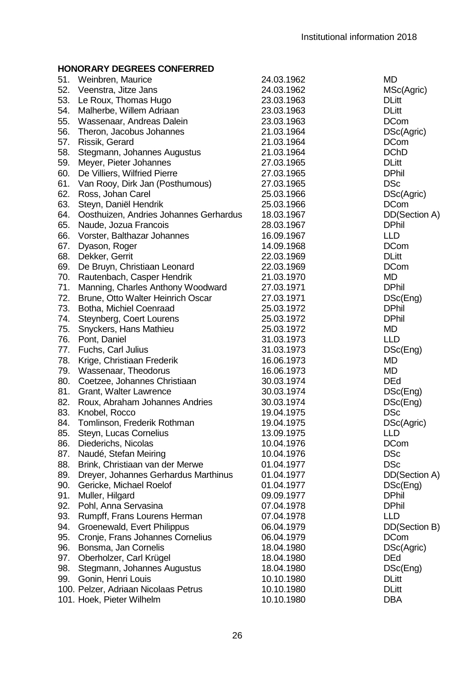| 51. | Weinbren, Maurice                      | 24.03.1962 | MD            |
|-----|----------------------------------------|------------|---------------|
| 52. | Veenstra, Jitze Jans                   | 24.03.1962 | MSc(Agric)    |
| 53. | Le Roux, Thomas Hugo                   | 23.03.1963 | DLitt         |
| 54. | Malherbe, Willem Adriaan               | 23.03.1963 | <b>DLitt</b>  |
| 55. | Wassenaar, Andreas Dalein              | 23.03.1963 | <b>DCom</b>   |
| 56. | Theron, Jacobus Johannes               | 21.03.1964 | DSc(Agric)    |
| 57. | Rissik, Gerard                         | 21.03.1964 | <b>DCom</b>   |
| 58. | Stegmann, Johannes Augustus            | 21.03.1964 | <b>DChD</b>   |
| 59. | Meyer, Pieter Johannes                 | 27.03.1965 | <b>DLitt</b>  |
| 60. | De Villiers, Wilfried Pierre           | 27.03.1965 | <b>DPhil</b>  |
| 61. | Van Rooy, Dirk Jan (Posthumous)        | 27.03.1965 | <b>DSc</b>    |
| 62. | Ross, Johan Carel                      | 25.03.1966 | DSc(Agric)    |
| 63. | Steyn, Daniël Hendrik                  | 25.03.1966 | <b>DCom</b>   |
| 64. | Oosthuizen, Andries Johannes Gerhardus | 18.03.1967 | DD(Section A) |
| 65. | Naude, Jozua Francois                  | 28.03.1967 | <b>DPhil</b>  |
| 66. | Vorster, Balthazar Johannes            | 16.09.1967 | <b>LLD</b>    |
| 67. | Dyason, Roger                          | 14.09.1968 | <b>DCom</b>   |
| 68. | Dekker, Gerrit                         | 22.03.1969 | <b>DLitt</b>  |
| 69. | De Bruyn, Christiaan Leonard           | 22.03.1969 | <b>DCom</b>   |
| 70. | Rautenbach, Casper Hendrik             | 21.03.1970 | <b>MD</b>     |
| 71. | Manning, Charles Anthony Woodward      | 27.03.1971 | <b>DPhil</b>  |
| 72. | Brune, Otto Walter Heinrich Oscar      | 27.03.1971 | DSc(Eng)      |
| 73. | Botha, Michiel Coenraad                | 25.03.1972 | <b>DPhil</b>  |
| 74. | Steynberg, Coert Lourens               | 25.03.1972 | <b>DPhil</b>  |
| 75. | Snyckers, Hans Mathieu                 | 25.03.1972 | MD            |
| 76. | Pont, Daniel                           | 31.03.1973 | <b>LLD</b>    |
| 77. | Fuchs, Carl Julius                     | 31.03.1973 | DSc(Eng)      |
| 78. | Krige, Christiaan Frederik             | 16.06.1973 | <b>MD</b>     |
| 79. | Wassenaar, Theodorus                   | 16.06.1973 | <b>MD</b>     |
| 80. | Coetzee, Johannes Christiaan           | 30.03.1974 | <b>DEd</b>    |
| 81. | Grant, Walter Lawrence                 | 30.03.1974 | DSc(Eng)      |
| 82. | Roux, Abraham Johannes Andries         | 30.03.1974 | DSc(Eng)      |
| 83. | Knobel, Rocco                          | 19.04.1975 | DSc           |
| 84. | Tomlinson, Frederik Rothman            | 19.04.1975 | DSc(Agric)    |
| 85. | Steyn, Lucas Cornelius                 | 13.09.1975 | LLD           |
| 86. | Diederichs, Nicolas                    | 10.04.1976 | <b>DCom</b>   |
| 87. | Naudé, Stefan Meiring                  | 10.04.1976 | <b>DSc</b>    |
| 88. | Brink, Christiaan van der Merwe        | 01.04.1977 | <b>DSc</b>    |
| 89. | Dreyer, Johannes Gerhardus Marthinus   | 01.04.1977 | DD(Section A) |
| 90. | Gericke, Michael Roelof                | 01.04.1977 | DSc(Eng)      |
| 91. | Muller, Hilgard                        | 09.09.1977 | <b>DPhil</b>  |
| 92. | Pohl, Anna Servasina                   | 07.04.1978 | <b>DPhil</b>  |
| 93. | Rumpff, Frans Lourens Herman           | 07.04.1978 | <b>LLD</b>    |
| 94. | Groenewald, Evert Philippus            | 06.04.1979 | DD(Section B) |
| 95. | Cronje, Frans Johannes Cornelius       | 06.04.1979 | <b>DCom</b>   |
| 96. | Bonsma, Jan Cornelis                   | 18.04.1980 | DSc(Agric)    |
| 97. | Oberholzer, Carl Krügel                | 18.04.1980 | <b>DEd</b>    |
| 98. | Stegmann, Johannes Augustus            | 18.04.1980 | DSc(Eng)      |
| 99. | Gonin, Henri Louis                     | 10.10.1980 | <b>DLitt</b>  |
|     | 100. Pelzer, Adriaan Nicolaas Petrus   | 10.10.1980 | <b>DLitt</b>  |
|     | 101. Hoek, Pieter Wilhelm              | 10.10.1980 | DBA           |
|     |                                        |            |               |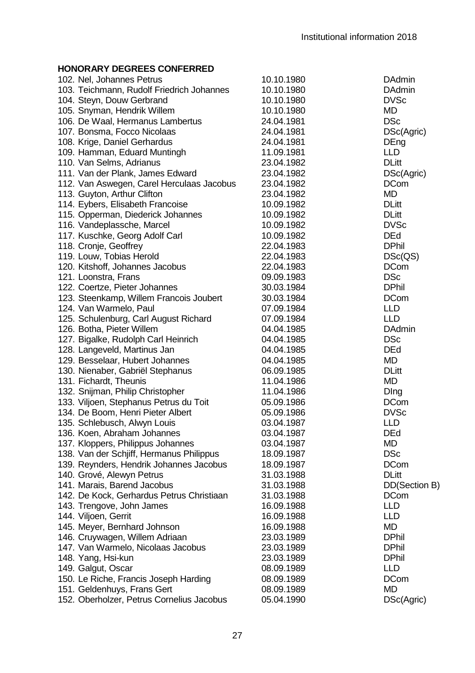| 102. Nel, Johannes Petrus                 | 10.10.1980 | <b>DAdmin</b> |
|-------------------------------------------|------------|---------------|
| 103. Teichmann, Rudolf Friedrich Johannes | 10.10.1980 | <b>DAdmin</b> |
| 104. Steyn, Douw Gerbrand                 | 10.10.1980 | <b>DVSc</b>   |
| 105. Snyman, Hendrik Willem               | 10.10.1980 | MD            |
| 106. De Waal, Hermanus Lambertus          | 24.04.1981 | <b>DSc</b>    |
| 107. Bonsma, Focco Nicolaas               | 24.04.1981 | DSc(Agric)    |
| 108. Krige, Daniel Gerhardus              | 24.04.1981 | DEng          |
| 109. Hamman, Eduard Muntingh              | 11.09.1981 | LLD           |
| 110. Van Selms, Adrianus                  | 23.04.1982 | <b>DLitt</b>  |
| 111. Van der Plank, James Edward          | 23.04.1982 | DSc(Agric)    |
| 112. Van Aswegen, Carel Herculaas Jacobus | 23.04.1982 | <b>DCom</b>   |
| 113. Guyton, Arthur Clifton               | 23.04.1982 | MD            |
| 114. Eybers, Elisabeth Francoise          | 10.09.1982 | <b>DLitt</b>  |
| 115. Opperman, Diederick Johannes         | 10.09.1982 | <b>DLitt</b>  |
| 116. Vandeplassche, Marcel                | 10.09.1982 | <b>DVSc</b>   |
| 117. Kuschke, Georg Adolf Carl            | 10.09.1982 | DEd           |
| 118. Cronje, Geoffrey                     | 22.04.1983 | <b>DPhil</b>  |
| 119. Louw, Tobias Herold                  | 22.04.1983 | DSc(QS)       |
| 120. Kitshoff, Johannes Jacobus           | 22.04.1983 | <b>DCom</b>   |
| 121. Loonstra, Frans                      | 09.09.1983 | <b>DSc</b>    |
| 122. Coertze, Pieter Johannes             | 30.03.1984 | <b>DPhil</b>  |
| 123. Steenkamp, Willem Francois Joubert   | 30.03.1984 | <b>DCom</b>   |
| 124. Van Warmelo, Paul                    | 07.09.1984 | LLD           |
| 125. Schulenburg, Carl August Richard     | 07.09.1984 | <b>LLD</b>    |
| 126. Botha, Pieter Willem                 | 04.04.1985 | DAdmin        |
| 127. Bigalke, Rudolph Carl Heinrich       | 04.04.1985 | <b>DSc</b>    |
| 128. Langeveld, Martinus Jan              | 04.04.1985 | <b>DEd</b>    |
| 129. Besselaar, Hubert Johannes           | 04.04.1985 | <b>MD</b>     |
| 130. Nienaber, Gabriël Stephanus          | 06.09.1985 | <b>DLitt</b>  |
| 131. Fichardt, Theunis                    | 11.04.1986 | MD            |
| 132. Snijman, Philip Christopher          | 11.04.1986 | Ding          |
| 133. Viljoen, Stephanus Petrus du Toit    | 05.09.1986 | <b>DCom</b>   |
| 134. De Boom, Henri Pieter Albert         | 05.09.1986 | <b>DVSc</b>   |
| 135. Schlebusch, Alwyn Louis              | 03.04.1987 | LLD           |
| 136. Koen, Abraham Johannes               | 03.04.1987 | <b>DEd</b>    |
| 137. Kloppers, Philippus Johannes         | 03.04.1987 | MD            |
| 138. Van der Schjiff, Hermanus Philippus  | 18.09.1987 | <b>DSc</b>    |
| 139. Reynders, Hendrik Johannes Jacobus   | 18.09.1987 | <b>DCom</b>   |
| 140. Grové, Alewyn Petrus                 | 31.03.1988 | <b>DLitt</b>  |
| 141. Marais, Barend Jacobus               | 31.03.1988 | DD(Section B) |
| 142. De Kock, Gerhardus Petrus Christiaan | 31.03.1988 | <b>DCom</b>   |
| 143. Trengove, John James                 | 16.09.1988 | LLD           |
| 144. Viljoen, Gerrit                      | 16.09.1988 | LLD           |
| 145. Meyer, Bernhard Johnson              | 16.09.1988 | <b>MD</b>     |
| 146. Cruywagen, Willem Adriaan            | 23.03.1989 | <b>DPhil</b>  |
| 147. Van Warmelo, Nicolaas Jacobus        | 23.03.1989 | <b>DPhil</b>  |
| 148. Yang, Hsi-kun                        | 23.03.1989 | <b>DPhil</b>  |
| 149. Galgut, Oscar                        | 08.09.1989 | LLD           |
| 150. Le Riche, Francis Joseph Harding     | 08.09.1989 | <b>DCom</b>   |
| 151. Geldenhuys, Frans Gert               | 08.09.1989 | MD            |
| 152. Oberholzer, Petrus Cornelius Jacobus | 05.04.1990 | DSc(Agric)    |
|                                           |            |               |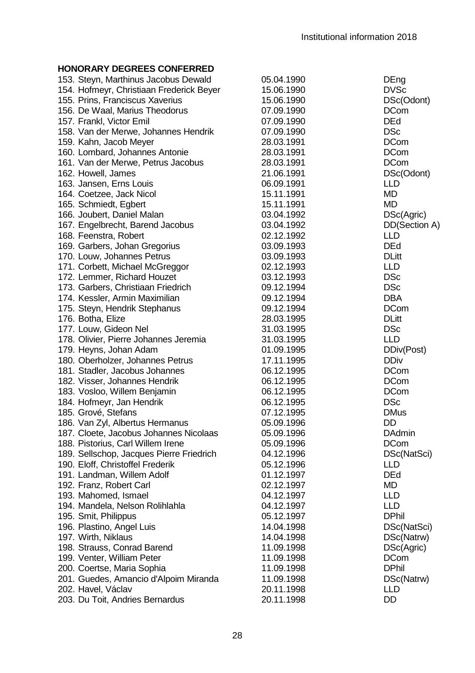| <b>DVSc</b><br>DSc(Odont)<br><b>DCom</b><br><b>DEd</b><br><b>DSc</b><br><b>DCom</b><br><b>DCom</b><br><b>DCom</b><br>DSc(Odont)<br><b>LLD</b><br>MD<br><b>MD</b><br>DSc(Agric)<br>DD(Section A)<br><b>LLD</b><br><b>DEd</b> |
|-----------------------------------------------------------------------------------------------------------------------------------------------------------------------------------------------------------------------------|
|                                                                                                                                                                                                                             |
|                                                                                                                                                                                                                             |
|                                                                                                                                                                                                                             |
|                                                                                                                                                                                                                             |
|                                                                                                                                                                                                                             |
|                                                                                                                                                                                                                             |
|                                                                                                                                                                                                                             |
|                                                                                                                                                                                                                             |
|                                                                                                                                                                                                                             |
|                                                                                                                                                                                                                             |
|                                                                                                                                                                                                                             |
|                                                                                                                                                                                                                             |
|                                                                                                                                                                                                                             |
|                                                                                                                                                                                                                             |
|                                                                                                                                                                                                                             |
|                                                                                                                                                                                                                             |
| <b>DLitt</b>                                                                                                                                                                                                                |
| <b>LLD</b>                                                                                                                                                                                                                  |
| <b>DSc</b>                                                                                                                                                                                                                  |
| <b>DSc</b>                                                                                                                                                                                                                  |
| <b>DBA</b>                                                                                                                                                                                                                  |
| <b>DCom</b>                                                                                                                                                                                                                 |
| <b>DLitt</b>                                                                                                                                                                                                                |
| <b>DSc</b>                                                                                                                                                                                                                  |
| <b>LLD</b>                                                                                                                                                                                                                  |
| DDiv(Post)                                                                                                                                                                                                                  |
| <b>DDiv</b>                                                                                                                                                                                                                 |
| <b>DCom</b>                                                                                                                                                                                                                 |
| <b>DCom</b>                                                                                                                                                                                                                 |
| <b>DCom</b>                                                                                                                                                                                                                 |
| <b>DSc</b>                                                                                                                                                                                                                  |
| <b>DMus</b>                                                                                                                                                                                                                 |
| DD                                                                                                                                                                                                                          |
| <b>DAdmin</b>                                                                                                                                                                                                               |
| <b>DCom</b>                                                                                                                                                                                                                 |
| DSc(NatSci)                                                                                                                                                                                                                 |
| <b>LLD</b>                                                                                                                                                                                                                  |
| <b>DEd</b>                                                                                                                                                                                                                  |
| <b>MD</b>                                                                                                                                                                                                                   |
| <b>LLD</b>                                                                                                                                                                                                                  |
| <b>LLD</b>                                                                                                                                                                                                                  |
| <b>DPhil</b>                                                                                                                                                                                                                |
| DSc(NatSci)                                                                                                                                                                                                                 |
| DSc(Natrw)                                                                                                                                                                                                                  |
| DSc(Agric)                                                                                                                                                                                                                  |
| <b>DCom</b>                                                                                                                                                                                                                 |
| <b>DPhil</b>                                                                                                                                                                                                                |
| DSc(Natrw)                                                                                                                                                                                                                  |
| <b>LLD</b>                                                                                                                                                                                                                  |
| DD                                                                                                                                                                                                                          |
|                                                                                                                                                                                                                             |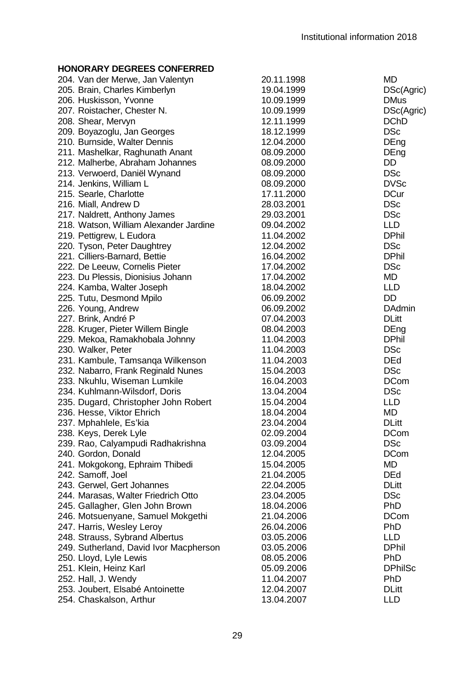| 204. Van der Merwe, Jan Valentyn       | 20.11.1998 | MD             |
|----------------------------------------|------------|----------------|
| 205. Brain, Charles Kimberlyn          | 19.04.1999 | DSc(Agric)     |
| 206. Huskisson, Yvonne                 | 10.09.1999 | <b>DMus</b>    |
| 207. Roistacher, Chester N.            | 10.09.1999 | DSc(Agric)     |
| 208. Shear, Mervyn                     | 12.11.1999 | <b>DChD</b>    |
| 209. Boyazoglu, Jan Georges            | 18.12.1999 | <b>DSc</b>     |
| 210. Burnside, Walter Dennis           | 12.04.2000 | DEng           |
| 211. Mashelkar, Raghunath Anant        | 08.09.2000 | DEng           |
| 212. Malherbe, Abraham Johannes        | 08.09.2000 | DD             |
| 213. Verwoerd, Daniël Wynand           | 08.09.2000 | <b>DSc</b>     |
| 214. Jenkins, William L                | 08.09.2000 | <b>DVSc</b>    |
| 215. Searle, Charlotte                 | 17.11.2000 | <b>DCur</b>    |
| 216. Miall, Andrew D                   | 28.03.2001 | <b>DSc</b>     |
| 217. Naldrett, Anthony James           | 29.03.2001 | <b>DSc</b>     |
| 218. Watson, William Alexander Jardine | 09.04.2002 | <b>LLD</b>     |
| 219. Pettigrew, L Eudora               | 11.04.2002 | <b>DPhil</b>   |
| 220. Tyson, Peter Daughtrey            | 12.04.2002 | <b>DSc</b>     |
| 221. Cilliers-Barnard, Bettie          | 16.04.2002 | <b>DPhil</b>   |
| 222. De Leeuw, Cornelis Pieter         | 17.04.2002 | <b>DSc</b>     |
|                                        |            | <b>MD</b>      |
| 223. Du Plessis, Dionisius Johann      | 17.04.2002 | <b>LLD</b>     |
| 224. Kamba, Walter Joseph              | 18.04.2002 | DD             |
| 225. Tutu, Desmond Mpilo               | 06.09.2002 |                |
| 226. Young, Andrew                     | 06.09.2002 | <b>DAdmin</b>  |
| 227. Brink, André P                    | 07.04.2003 | <b>DLitt</b>   |
| 228. Kruger, Pieter Willem Bingle      | 08.04.2003 | DEng           |
| 229. Mekoa, Ramakhobala Johnny         | 11.04.2003 | <b>DPhil</b>   |
| 230. Walker, Peter                     | 11.04.2003 | <b>DSc</b>     |
| 231. Kambule, Tamsanga Wilkenson       | 11.04.2003 | <b>DEd</b>     |
| 232. Nabarro, Frank Reginald Nunes     | 15.04.2003 | <b>DSc</b>     |
| 233. Nkuhlu, Wiseman Lumkile           | 16.04.2003 | <b>DCom</b>    |
| 234. Kuhlmann-Wilsdorf, Doris          | 13.04.2004 | DSc            |
| 235. Dugard, Christopher John Robert   | 15.04.2004 | LLD            |
| 236. Hesse, Viktor Ehrich              | 18.04.2004 | MD             |
| 237. Mphahlele, Es'kia                 | 23.04.2004 | <b>DLitt</b>   |
| 238. Keys, Derek Lyle                  | 02.09.2004 | <b>DCom</b>    |
| 239. Rao, Calyampudi Radhakrishna      | 03.09.2004 | <b>DSc</b>     |
| 240. Gordon, Donald                    | 12.04.2005 | <b>DCom</b>    |
| 241. Mokgokong, Ephraim Thibedi        | 15.04.2005 | MD             |
| 242. Samoff, Joel                      | 21.04.2005 | <b>DEd</b>     |
| 243. Gerwel, Gert Johannes             | 22.04.2005 | <b>DLitt</b>   |
| 244. Marasas, Walter Friedrich Otto    | 23.04.2005 | <b>DSc</b>     |
| 245. Gallagher, Glen John Brown        | 18.04.2006 | PhD            |
| 246. Motsuenyane, Samuel Mokgethi      | 21.04.2006 | <b>DCom</b>    |
| 247. Harris, Wesley Leroy              | 26.04.2006 | PhD            |
| 248. Strauss, Sybrand Albertus         | 03.05.2006 | <b>LLD</b>     |
| 249. Sutherland, David Ivor Macpherson | 03.05.2006 | <b>DPhil</b>   |
| 250. Lloyd, Lyle Lewis                 | 08.05.2006 | PhD            |
| 251. Klein, Heinz Karl                 | 05.09.2006 | <b>DPhilSc</b> |
| 252. Hall, J. Wendy                    | 11.04.2007 | PhD            |
| 253. Joubert, Elsabé Antoinette        | 12.04.2007 | <b>DLitt</b>   |
| 254. Chaskalson, Arthur                | 13.04.2007 | LLD            |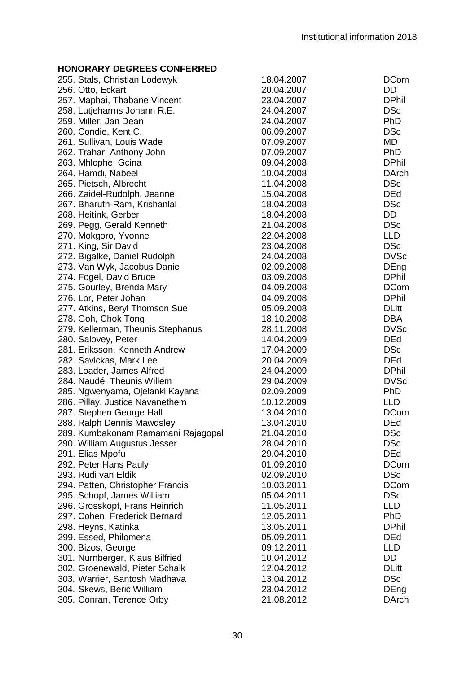| 255. Stals, Christian Lodewyk      | 18.04.2007 | <b>DCom</b>  |
|------------------------------------|------------|--------------|
| 256. Otto, Eckart                  | 20.04.2007 | DD           |
| 257. Maphai, Thabane Vincent       | 23.04.2007 | <b>DPhil</b> |
| 258. Lutjeharms Johann R.E.        | 24.04.2007 | <b>DSc</b>   |
| 259. Miller, Jan Dean              | 24.04.2007 | <b>PhD</b>   |
| 260. Condie, Kent C.               | 06.09.2007 | <b>DSc</b>   |
| 261. Sullivan, Louis Wade          | 07.09.2007 | MD           |
| 262. Trahar, Anthony John          | 07.09.2007 | PhD          |
| 263. Mhlophe, Gcina                | 09.04.2008 | <b>DPhil</b> |
| 264. Hamdi, Nabeel                 | 10.04.2008 | DArch        |
| 265. Pietsch, Albrecht             | 11.04.2008 | <b>DSc</b>   |
| 266. Zaidel-Rudolph, Jeanne        | 15.04.2008 | DEd          |
| 267. Bharuth-Ram, Krishanlal       | 18.04.2008 | <b>DSc</b>   |
| 268. Heitink, Gerber               | 18.04.2008 | DD           |
| 269. Pegg, Gerald Kenneth          | 21.04.2008 | <b>DSc</b>   |
| 270. Mokgoro, Yvonne               | 22.04.2008 | LLD          |
| 271. King, Sir David               | 23.04.2008 | <b>DSc</b>   |
| 272. Bigalke, Daniel Rudolph       | 24.04.2008 | <b>DVSc</b>  |
| 273. Van Wyk, Jacobus Danie        | 02.09.2008 | DEng         |
| 274. Fogel, David Bruce            | 03.09.2008 | <b>DPhil</b> |
|                                    | 04.09.2008 | <b>DCom</b>  |
| 275. Gourley, Brenda Mary          | 04.09.2008 | <b>DPhil</b> |
| 276. Lor, Peter Johan              |            |              |
| 277. Atkins, Beryl Thomson Sue     | 05.09.2008 | <b>DLitt</b> |
| 278. Goh, Chok Tong                | 18.10.2008 | DBA          |
| 279. Kellerman, Theunis Stephanus  | 28.11.2008 | <b>DVSc</b>  |
| 280. Salovey, Peter                | 14.04.2009 | <b>DEd</b>   |
| 281. Eriksson, Kenneth Andrew      | 17.04.2009 | <b>DSc</b>   |
| 282. Savickas, Mark Lee            | 20.04.2009 | DEd          |
| 283. Loader, James Alfred          | 24.04.2009 | <b>DPhil</b> |
| 284. Naudé, Theunis Willem         | 29.04.2009 | <b>DVSc</b>  |
| 285. Ngwenyama, Ojelanki Kayana    | 02.09.2009 | PhD          |
| 286. Pillay, Justice Navanethem    | 10.12.2009 | LLD          |
| 287. Stephen George Hall           | 13.04.2010 | <b>DCom</b>  |
| 288. Ralph Dennis Mawdsley         | 13.04.2010 | <b>DEd</b>   |
| 289. Kumbakonam Ramamani Rajagopal | 21.04.2010 | DSc          |
| 290. William Augustus Jesser       | 28.04.2010 | DSc          |
| 291. Elias Mpofu                   | 29.04.2010 | <b>DEd</b>   |
| 292. Peter Hans Pauly              | 01.09.2010 | <b>DCom</b>  |
| 293. Rudi van Eldik                | 02.09.2010 | <b>DSc</b>   |
| 294. Patten, Christopher Francis   | 10.03.2011 | <b>DCom</b>  |
| 295. Schopf, James William         | 05.04.2011 | DSc          |
| 296. Grosskopf, Frans Heinrich     | 11.05.2011 | LLD          |
| 297. Cohen, Frederick Bernard      | 12.05.2011 | PhD          |
| 298. Heyns, Katinka                | 13.05.2011 | <b>DPhil</b> |
| 299. Essed, Philomena              | 05.09.2011 | DEd          |
| 300. Bizos, George                 | 09.12.2011 | LLD          |
| 301. Nürnberger, Klaus Bilfried    | 10.04.2012 | DD           |
| 302. Groenewald, Pieter Schalk     | 12.04.2012 | <b>DLitt</b> |
| 303. Warrier, Santosh Madhava      | 13.04.2012 | <b>DSc</b>   |
| 304. Skews, Beric William          | 23.04.2012 | DEng         |
| 305. Conran, Terence Orby          | 21.08.2012 | DArch        |
|                                    |            |              |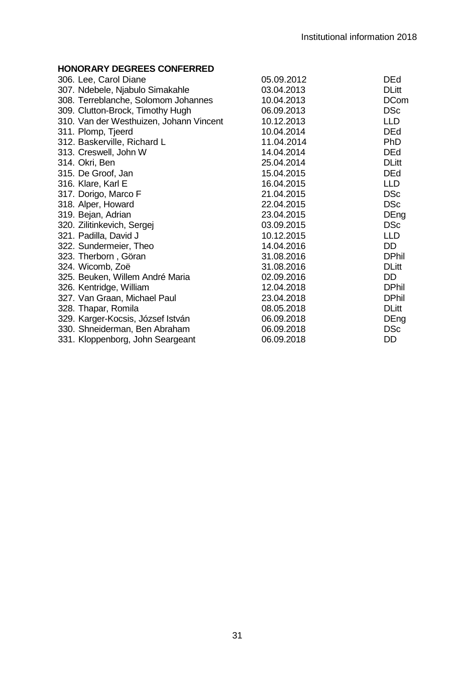| 306. Lee, Carol Diane                   | 05.09.2012 | <b>DEd</b>   |
|-----------------------------------------|------------|--------------|
| 307. Ndebele, Njabulo Simakahle         | 03.04.2013 | <b>DLitt</b> |
| 308. Terreblanche, Solomom Johannes     | 10.04.2013 | <b>DCom</b>  |
| 309. Clutton-Brock, Timothy Hugh        | 06.09.2013 | <b>DSc</b>   |
| 310. Van der Westhuizen, Johann Vincent | 10.12.2013 | <b>LLD</b>   |
| 311. Plomp, Tjeerd                      | 10.04.2014 | <b>DEd</b>   |
| 312. Baskerville, Richard L             | 11.04.2014 | <b>PhD</b>   |
| 313. Creswell, John W                   | 14.04.2014 | <b>DEd</b>   |
| 314. Okri, Ben                          | 25.04.2014 | <b>DLitt</b> |
| 315. De Groof, Jan                      | 15.04.2015 | <b>DEd</b>   |
| 316. Klare, Karl E                      | 16.04.2015 | <b>LLD</b>   |
| 317. Dorigo, Marco F                    | 21.04.2015 | <b>DSc</b>   |
| 318. Alper, Howard                      | 22.04.2015 | <b>DSc</b>   |
| 319. Bejan, Adrian                      | 23.04.2015 | DEng         |
| 320. Zilitinkevich, Sergej              | 03.09.2015 | <b>DSc</b>   |
| 321. Padilla, David J                   | 10.12.2015 | <b>LLD</b>   |
| 322. Sundermeier, Theo                  | 14.04.2016 | DD.          |
| 323. Therborn, Göran                    | 31.08.2016 | <b>DPhil</b> |
| 324. Wicomb, Zoë                        | 31.08.2016 | <b>DLitt</b> |
| 325. Beuken, Willem André Maria         | 02.09.2016 | DD.          |
| 326. Kentridge, William                 | 12.04.2018 | <b>DPhil</b> |
| 327. Van Graan, Michael Paul            | 23.04.2018 | <b>DPhil</b> |
| 328. Thapar, Romila                     | 08.05.2018 | <b>DLitt</b> |
| 329. Karger-Kocsis, József István       | 06.09.2018 | DEng         |
| 330. Shneiderman, Ben Abraham           | 06.09.2018 | <b>DSc</b>   |
| 331. Kloppenborg, John Seargeant        | 06.09.2018 | DD           |
|                                         |            |              |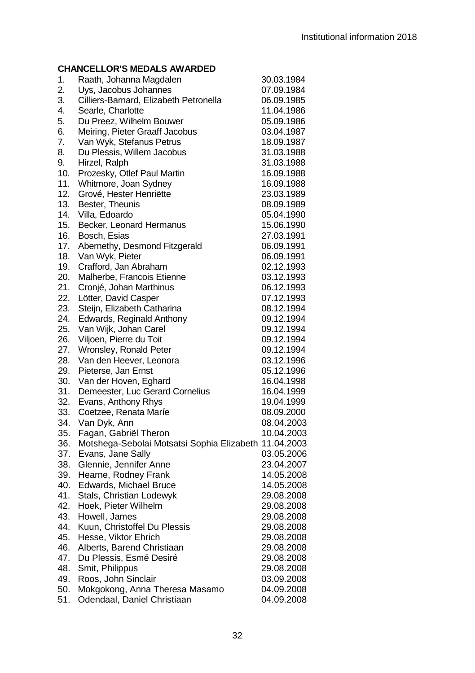# **CHANCELLOR'S MEDALS AWARDED**

| יורו ש | , טבובוסוג ט ואובטמבט                                 |            |
|--------|-------------------------------------------------------|------------|
| 1.     | Raath, Johanna Magdalen                               | 30.03.1984 |
| 2.     | Uys, Jacobus Johannes                                 | 07.09.1984 |
| 3.     | Cilliers-Barnard, Elizabeth Petronella                | 06.09.1985 |
| 4.     | Searle, Charlotte                                     | 11.04.1986 |
| 5.     | Du Preez, Wilhelm Bouwer                              | 05.09.1986 |
| 6.     | Meiring, Pieter Graaff Jacobus                        | 03.04.1987 |
| 7.     | Van Wyk, Stefanus Petrus                              | 18.09.1987 |
| 8.     | Du Plessis, Willem Jacobus                            | 31.03.1988 |
| 9.     | Hirzel, Ralph                                         | 31.03.1988 |
| 10.    | Prozesky, Otlef Paul Martin                           | 16.09.1988 |
| 11.    | Whitmore, Joan Sydney                                 | 16.09.1988 |
| 12.    | Grové, Hester Henriëtte                               | 23.03.1989 |
| 13.    | Bester, Theunis                                       | 08.09.1989 |
| 14.    | Villa, Edoardo                                        | 05.04.1990 |
| 15.    | Becker, Leonard Hermanus                              | 15.06.1990 |
| 16.    | Bosch, Esias                                          | 27.03.1991 |
| 17.    | Abernethy, Desmond Fitzgerald                         | 06.09.1991 |
| 18.    | Van Wyk, Pieter                                       | 06.09.1991 |
| 19.    | Crafford, Jan Abraham                                 | 02.12.1993 |
| 20.    | Malherbe, Francois Etienne                            | 03.12.1993 |
| 21.    | Cronjé, Johan Marthinus                               | 06.12.1993 |
| 22.    | Lötter, David Casper                                  | 07.12.1993 |
| 23.    | Steijn, Elizabeth Catharina                           | 08.12.1994 |
| 24.    | Edwards, Reginald Anthony                             | 09.12.1994 |
| 25.    | Van Wijk, Johan Carel                                 | 09.12.1994 |
| 26.    | Viljoen, Pierre du Toit                               | 09.12.1994 |
| 27.    | Wronsley, Ronald Peter                                | 09.12.1994 |
| 28.    | Van den Heever, Leonora                               | 03.12.1996 |
| 29.    | Pieterse, Jan Ernst                                   | 05.12.1996 |
| 30.    | Van der Hoven, Eghard                                 | 16.04.1998 |
| 31.    | Demeester, Luc Gerard Cornelius                       | 16.04.1999 |
| 32.    | Evans, Anthony Rhys                                   | 19.04.1999 |
| 33.    | Coetzee, Renata Maríe                                 | 08.09.2000 |
| 34.    | Van Dyk, Ann                                          | 08.04.2003 |
| 35.    | Fagan, Gabriël Theron                                 | 10.04.2003 |
| 36.    | Motshega-Sebolai Motsatsi Sophia Elizabeth 11.04.2003 |            |
| 37.    | Evans, Jane Sally                                     | 03.05.2006 |
| 38.    | Glennie, Jennifer Anne                                | 23.04.2007 |
| 39.    | Hearne, Rodney Frank                                  | 14.05.2008 |
| 40.    | Edwards, Michael Bruce                                | 14.05.2008 |
| 41.    | Stals, Christian Lodewyk                              | 29.08.2008 |
| 42.    | Hoek, Pieter Wilhelm                                  | 29.08.2008 |
| 43.    | Howell, James                                         | 29.08.2008 |
| 44.    | Kuun, Christoffel Du Plessis                          | 29.08.2008 |
| 45.    | Hesse, Viktor Ehrich                                  | 29.08.2008 |
| 46.    | Alberts, Barend Christiaan                            | 29.08.2008 |
| 47.    | Du Plessis, Esmé Desiré                               | 29.08.2008 |
| 48.    | Smit, Philippus                                       | 29.08.2008 |
| 49.    | Roos, John Sinclair                                   | 03.09.2008 |
| 50.    | Mokgokong, Anna Theresa Masamo                        | 04.09.2008 |
| 51.    | Odendaal, Daniel Christiaan                           | 04.09.2008 |
|        |                                                       |            |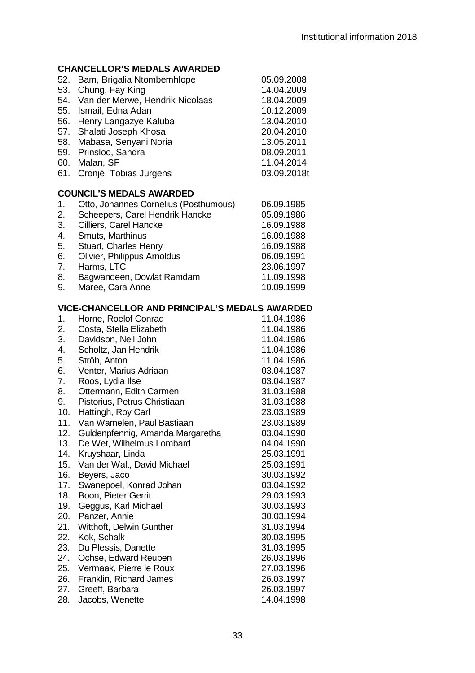# **CHANCELLOR'S MEDALS AWARDED**

| 52. Bam, Brigalia Ntombemhlope      | 05.09.2008  |  |  |
|-------------------------------------|-------------|--|--|
| 53. Chung, Fay King                 | 14.04.2009  |  |  |
| 54. Van der Merwe, Hendrik Nicolaas | 18.04.2009  |  |  |
| 55. Ismail, Edna Adan               | 10.12.2009  |  |  |
| 56. Henry Langazye Kaluba           | 13.04.2010  |  |  |
| 57. Shalati Joseph Khosa            | 20.04.2010  |  |  |
| 58. Mabasa, Senyani Noria           | 13.05.2011  |  |  |
| 59. Prinsloo, Sandra                | 08.09.2011  |  |  |
| 60. Malan, SF                       | 11.04.2014  |  |  |
| 61. Cronié, Tobias Jurgens          | 03.09.2018t |  |  |
|                                     |             |  |  |
|                                     |             |  |  |

# **COUNCIL'S MEDALS AWARDED**

| $\mathbf{1}$ . | Otto, Johannes Cornelius (Posthumous) | 06.09.1985 |
|----------------|---------------------------------------|------------|
| 2.             | Scheepers, Carel Hendrik Hancke       | 05.09.1986 |
| 3.             | Cilliers, Carel Hancke                | 16.09.1988 |
| 4.             | Smuts, Marthinus                      | 16.09.1988 |
| 5.             | Stuart, Charles Henry                 | 16.09.1988 |
| 6.             | Olivier, Philippus Arnoldus           | 06.09.1991 |
| 7.             | Harms, LTC                            | 23.06.1997 |
| 8.             | Bagwandeen, Dowlat Ramdam             | 11.09.1998 |
| 9.             | Maree, Cara Anne                      | 10.09.1999 |
|                |                                       |            |

| 1.  | Horne, Roelof Conrad             | 11.04.1986 |
|-----|----------------------------------|------------|
| 2.  | Costa, Stella Elizabeth          | 11.04.1986 |
| 3.  | Davidson, Neil John              | 11.04.1986 |
| 4.  | Scholtz, Jan Hendrik             | 11.04.1986 |
| 5.  | Ströh, Anton                     | 11.04.1986 |
| 6.  | Venter, Marius Adriaan           | 03.04.1987 |
| 7.  | Roos, Lydia Ilse                 | 03.04.1987 |
| 8.  | Ottermann, Edith Carmen          | 31.03.1988 |
| 9.  | Pistorius, Petrus Christiaan     | 31.03.1988 |
| 10. | Hattingh, Roy Carl               | 23.03.1989 |
| 11. | Van Wamelen, Paul Bastiaan       | 23.03.1989 |
| 12. | Guldenpfennig, Amanda Margaretha | 03.04.1990 |
| 13. | De Wet, Wilhelmus Lombard        | 04.04.1990 |
| 14. | Kruyshaar, Linda                 | 25.03.1991 |
| 15. | Van der Walt, David Michael      | 25.03.1991 |
| 16. | Beyers, Jaco                     | 30.03.1992 |
| 17. | Swanepoel, Konrad Johan          | 03.04.1992 |
| 18. | Boon, Pieter Gerrit              | 29.03.1993 |
| 19. | Geggus, Karl Michael             | 30.03.1993 |
| 20. | Panzer, Annie                    | 30.03.1994 |
| 21. | Witthoft, Delwin Gunther         | 31.03.1994 |
| 22. | Kok, Schalk                      | 30.03.1995 |
| 23. | Du Plessis, Danette              | 31.03.1995 |
| 24. | Ochse, Edward Reuben             | 26.03.1996 |
| 25. | Vermaak, Pierre le Roux          | 27.03.1996 |
| 26. | Franklin, Richard James          | 26.03.1997 |
| 27. | Greeff, Barbara                  | 26.03.1997 |
| 28. | Jacobs, Wenette                  | 14.04.1998 |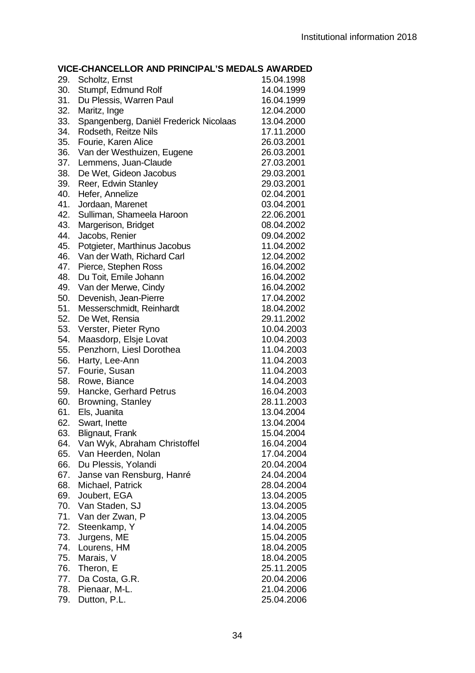| 29. | Scholtz, Ernst                                    | 15.04.1998               |
|-----|---------------------------------------------------|--------------------------|
| 30. | Stumpf, Edmund Rolf                               | 14.04.1999               |
| 31. | Du Plessis, Warren Paul                           | 16.04.1999               |
| 32. | Maritz, Inge                                      | 12.04.2000               |
| 33. | Spangenberg, Daniël Frederick Nicolaas            | 13.04.2000               |
| 34. | Rodseth, Reitze Nils                              | 17.11.2000               |
| 35. | Fourie, Karen Alice                               | 26.03.2001               |
| 36. | Van der Westhuizen, Eugene                        | 26.03.2001               |
| 37. | Lemmens, Juan-Claude                              | 27.03.2001               |
| 38. | De Wet, Gideon Jacobus                            | 29.03.2001               |
| 39. | Reer, Edwin Stanley                               | 29.03.2001               |
| 40. | Hefer, Annelize                                   | 02.04.2001               |
| 41. | Jordaan, Marenet                                  | 03.04.2001               |
| 42. | Sulliman, Shameela Haroon                         | 22.06.2001               |
| 43. | Margerison, Bridget                               | 08.04.2002               |
| 44. | Jacobs, Renier                                    | 09.04.2002               |
| 45. | Potgieter, Marthinus Jacobus                      | 11.04.2002               |
| 46. | Van der Wath, Richard Carl                        | 12.04.2002               |
| 47. | Pierce, Stephen Ross                              | 16.04.2002               |
| 48. | Du Toit, Emile Johann                             | 16.04.2002               |
| 49. | Van der Merwe, Cindy                              | 16.04.2002               |
| 50. | Devenish, Jean-Pierre                             | 17.04.2002               |
| 51. | Messerschmidt, Reinhardt                          | 18.04.2002               |
| 52. | De Wet, Rensia                                    | 29.11.2002               |
| 53. | Verster, Pieter Ryno                              | 10.04.2003               |
| 54. |                                                   | 10.04.2003               |
| 55. | Maasdorp, Elsje Lovat<br>Penzhorn, Liesl Dorothea | 11.04.2003               |
| 56. | Harty, Lee-Ann                                    | 11.04.2003               |
| 57. | Fourie, Susan                                     | 11.04.2003               |
| 58. | Rowe, Biance                                      | 14.04.2003               |
| 59. | Hancke, Gerhard Petrus                            | 16.04.2003               |
| 60. | Browning, Stanley                                 | 28.11.2003               |
| 61. | Els, Juanita                                      | 13.04.2004               |
| 62. | Swart, Inette                                     | 13.04.2004               |
| 63. | <b>Blignaut, Frank</b>                            | 15.04.2004               |
| 64. | Van Wyk, Abraham Christoffel                      | 16.04.2004               |
| 65. | Van Heerden, Nolan                                |                          |
| 66. | Du Plessis, Yolandi                               | 17.04.2004<br>20.04.2004 |
| 67. |                                                   | 24.04.2004               |
| 68. | Janse van Rensburg, Hanré<br>Michael, Patrick     | 28.04.2004               |
| 69. |                                                   | 13.04.2005               |
| 70. | Joubert, EGA<br>Van Staden, SJ                    | 13.04.2005               |
| 71. |                                                   | 13.04.2005               |
|     | Van der Zwan, P                                   |                          |
| 72. | Steenkamp, Y                                      | 14.04.2005               |
| 73. | Jurgens, ME                                       | 15.04.2005               |
| 74. | Lourens, HM                                       | 18.04.2005               |
| 75. | Marais, V                                         | 18.04.2005               |
| 76. | Theron, E                                         | 25.11.2005               |
|     | 77. Da Costa, G.R.                                | 20.04.2006               |
| 78. | Pienaar, M-L.                                     | 21.04.2006               |
| 79. | Dutton, P.L.                                      | 25.04.2006               |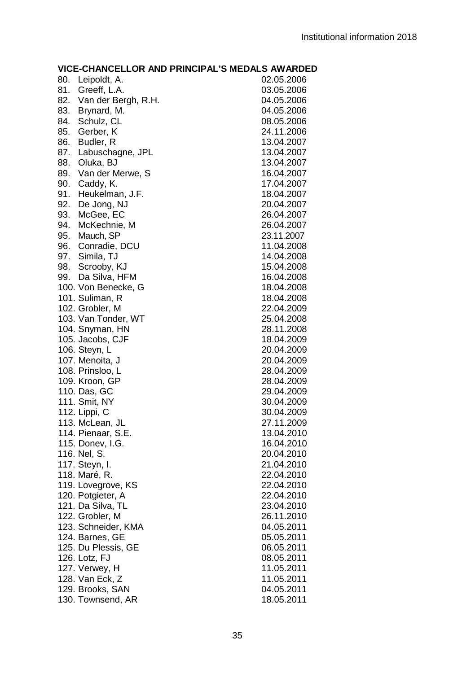| 80. | Leipoldt, A.        | 02.05.2006 |
|-----|---------------------|------------|
| 81. | Greeff, L.A.        | 03.05.2006 |
| 82. | Van der Bergh, R.H. | 04.05.2006 |
| 83. | Brynard, M.         | 04.05.2006 |
| 84. | Schulz, CL          | 08.05.2006 |
| 85. | Gerber, K           | 24.11.2006 |
| 86. | Budler, R           | 13.04.2007 |
| 87. | Labuschagne, JPL    | 13.04.2007 |
| 88. | Oluka, BJ           | 13.04.2007 |
| 89. | Van der Merwe, S    | 16.04.2007 |
| 90. | Caddy, K.           | 17.04.2007 |
| 91. | Heukelman, J.F.     | 18.04.2007 |
| 92. | De Jong, NJ         | 20.04.2007 |
| 93. | McGee, EC           | 26.04.2007 |
| 94. | McKechnie, M        | 26.04.2007 |
|     | 95. Mauch, SP       | 23.11.2007 |
|     | 96. Conradie, DCU   | 11.04.2008 |
|     | 97. Simila, TJ      | 14.04.2008 |
| 98. | Scrooby, KJ         | 15.04.2008 |
| 99. | Da Silva, HFM       | 16.04.2008 |
|     | 100. Von Benecke, G | 18.04.2008 |
|     | 101. Suliman, R     | 18.04.2008 |
|     | 102. Grobler, M     | 22.04.2009 |
|     | 103. Van Tonder, WT | 25.04.2008 |
|     | 104. Snyman, HN     | 28.11.2008 |
|     | 105. Jacobs, CJF    | 18.04.2009 |
|     | 106. Steyn, L       | 20.04.2009 |
|     | 107. Menoita, J     | 20.04.2009 |
|     | 108. Prinsloo, L    | 28.04.2009 |
|     | 109. Kroon, GP      | 28.04.2009 |
|     | 110. Das, GC        | 29.04.2009 |
|     | 111. Smit, NY       | 30.04.2009 |
|     | 112. Lippi, C       | 30.04.2009 |
|     | 113. McLean, JL     | 27.11.2009 |
|     | 114. Pienaar, S.E.  | 13.04.2010 |
|     | 115. Donev, I.G.    | 16.04.2010 |
|     | 116. Nel, S.        | 20.04.2010 |
|     | 117. Steyn, I.      | 21.04.2010 |
|     | 118. Maré, R.       | 22.04.2010 |
|     | 119. Lovegrove, KS  | 22.04.2010 |
|     | 120. Potgieter, A   | 22.04.2010 |
|     | 121. Da Silva, TL   | 23.04.2010 |
|     | 122. Grobler, M     | 26.11.2010 |
|     | 123. Schneider, KMA | 04.05.2011 |
|     | 124. Barnes, GE     | 05.05.2011 |
|     | 125. Du Plessis, GE | 06.05.2011 |
|     | 126. Lotz, FJ       | 08.05.2011 |
|     | 127. Verwey, H      | 11.05.2011 |
|     | 128. Van Eck, Z     | 11.05.2011 |
|     | 129. Brooks, SAN    | 04.05.2011 |
|     | 130. Townsend, AR   | 18.05.2011 |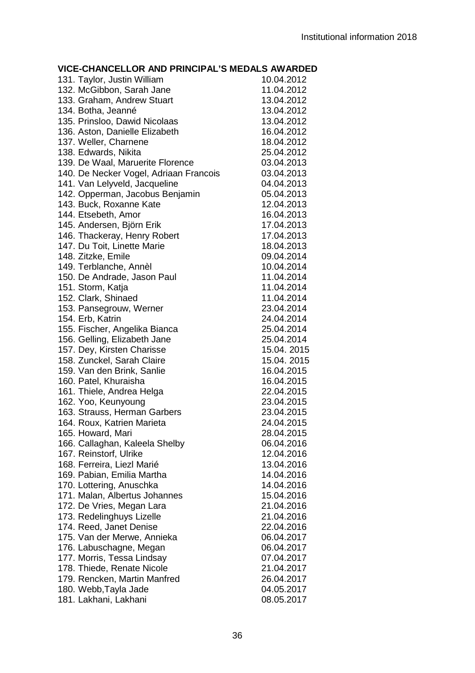| 131. Taylor, Justin William            | 10.04.2012  |
|----------------------------------------|-------------|
| 132. McGibbon, Sarah Jane              | 11.04.2012  |
| 133. Graham, Andrew Stuart             | 13.04.2012  |
| 134. Botha, Jeanné                     | 13.04.2012  |
| 135. Prinsloo, Dawid Nicolaas          | 13.04.2012  |
| 136. Aston, Danielle Elizabeth         | 16.04.2012  |
| 137. Weller, Charnene                  | 18.04.2012  |
| 138. Edwards, Nikita                   | 25.04.2012  |
| 139. De Waal, Maruerite Florence       | 03.04.2013  |
| 140. De Necker Vogel, Adriaan Francois | 03.04.2013  |
| 141. Van Lelyveld, Jacqueline          | 04.04.2013  |
| 142. Opperman, Jacobus Benjamin        | 05.04.2013  |
| 143. Buck, Roxanne Kate                | 12.04.2013  |
| 144. Etsebeth, Amor                    | 16.04.2013  |
| 145. Andersen, Björn Erik              | 17.04.2013  |
| 146. Thackeray, Henry Robert           | 17.04.2013  |
| 147. Du Toit, Linette Marie            | 18.04.2013  |
| 148. Zitzke, Emile                     | 09.04.2014  |
| 149. Terblanche, Annèl                 | 10.04.2014  |
| 150. De Andrade, Jason Paul            | 11.04.2014  |
| 151. Storm, Katja                      | 11.04.2014  |
| 152. Clark, Shinaed                    | 11.04.2014  |
| 153. Pansegrouw, Werner                | 23.04.2014  |
| 154. Erb, Katrin                       | 24.04.2014  |
| 155. Fischer, Angelika Bianca          | 25.04.2014  |
| 156. Gelling, Elizabeth Jane           | 25.04.2014  |
| 157. Dey, Kirsten Charisse             | 15.04. 2015 |
| 158. Zunckel, Sarah Claire             | 15.04. 2015 |
| 159. Van den Brink, Sanlie             | 16.04.2015  |
| 160. Patel, Khuraisha                  | 16.04.2015  |
| 161. Thiele, Andrea Helga              | 22.04.2015  |
| 162. Yoo, Keunyoung                    | 23.04.2015  |
| 163. Strauss, Herman Garbers           | 23.04.2015  |
| 164. Roux, Katrien Marieta             | 24.04.2015  |
| 165. Howard, Mari                      | 28.04.2015  |
| 166. Callaghan, Kaleela Shelby         | 06.04.2016  |
| 167. Reinstorf, Ulrike                 | 12.04.2016  |
| 168. Ferreira, Liezl Marié             | 13.04.2016  |
| 169. Pabian, Emilia Martha             | 14.04.2016  |
| 170. Lottering, Anuschka               | 14.04.2016  |
| 171. Malan, Albertus Johannes          | 15.04.2016  |
| 172. De Vries, Megan Lara              | 21.04.2016  |
| 173. Redelinghuys Lizelle              | 21.04.2016  |
| 174. Reed, Janet Denise                | 22.04.2016  |
| 175. Van der Merwe, Annieka            | 06.04.2017  |
|                                        |             |
| 176. Labuschagne, Megan                | 06.04.2017  |
| 177. Morris, Tessa Lindsay             | 07.04.2017  |
| 178. Thiede, Renate Nicole             | 21.04.2017  |
| 179. Rencken, Martin Manfred           | 26.04.2017  |
| 180. Webb,Tayla Jade                   | 04.05.2017  |
| 181. Lakhani, Lakhani                  | 08.05.2017  |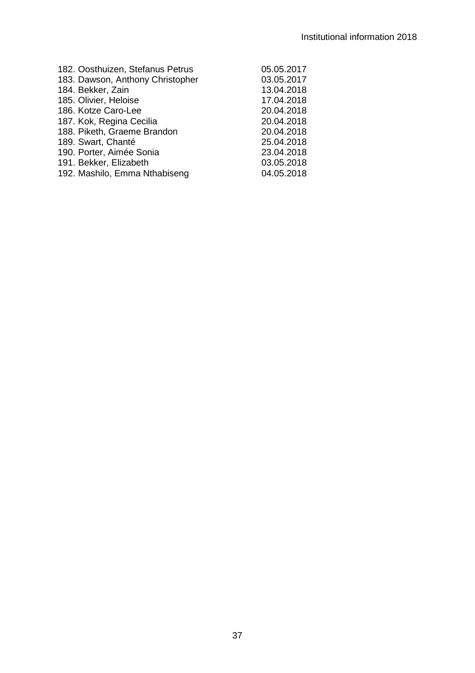| 05.05.2017 |
|------------|
| 03.05.2017 |
| 13.04.2018 |
| 17.04.2018 |
| 20.04.2018 |
| 20.04.2018 |
| 20.04.2018 |
| 25.04.2018 |
| 23.04.2018 |
| 03.05.2018 |
| 04.05.2018 |
|            |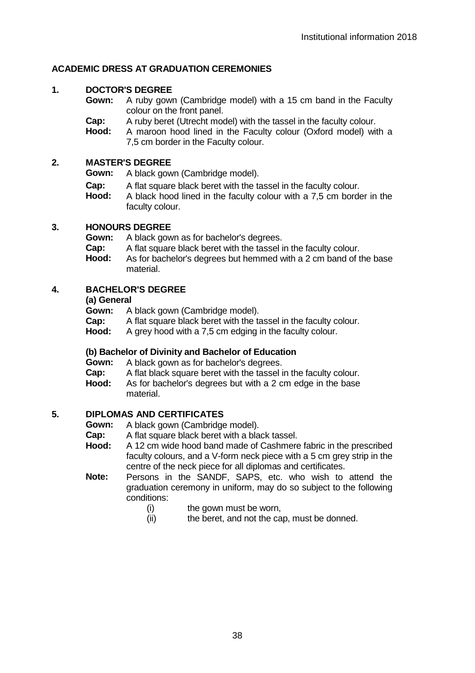# **ACADEMIC DRESS AT GRADUATION CEREMONIES**

# **1. DOCTOR'S DEGREE**

**Gown:** A ruby gown (Cambridge model) with a 15 cm band in the Faculty colour on the front panel.

**Cap:** A ruby beret (Utrecht model) with the tassel in the faculty colour.<br>**Hood:** A maroon hood lined in the Faculty colour (Oxford model) wi

**Hood:** A maroon hood lined in the Faculty colour (Oxford model) with a 7,5 cm border in the Faculty colour.

# **2. MASTER'S DEGREE**

**Gown:** A black gown (Cambridge model).

- **Cap:** A flat square black beret with the tassel in the faculty colour.<br>**Hood:** A black hood lined in the faculty colour with a 7.5 cm bords
- **Hood:** A black hood lined in the faculty colour with a 7,5 cm border in the faculty colour.

# **3. HONOURS DEGREE**

**Gown:** A black gown as for bachelor's degrees.<br>**Cap:** A flat square black beret with the tassel i

- **Cap:** A flat square black beret with the tassel in the faculty colour.<br>**Hood:** As for bachelor's degrees but hemmed with a 2 cm band of t
- As for bachelor's degrees but hemmed with a 2 cm band of the base material.

# **4. BACHELOR'S DEGREE**

# **(a) General**

**Gown:** A black gown (Cambridge model).<br>**Cap:** A flat square black beref with the ta

- **Cap:** A flat square black beret with the tassel in the faculty colour.<br>**Hood:** A grey hood with a 7.5 cm edging in the faculty colour.
- **Hood:** A grey hood with a 7,5 cm edging in the faculty colour.

# **(b) Bachelor of Divinity and Bachelor of Education**

**Gown:** A black gown as for bachelor's degrees.<br>**Cap:** A flat black square beret with the tassel i

- **Cap:** A flat black square beret with the tassel in the faculty colour.<br>**Hood:** As for bachelor's degrees but with a 2 cm edge in the base
- As for bachelor's degrees but with a 2 cm edge in the base material.

# **5. DIPLOMAS AND CERTIFICATES**

**Gown:** A black gown (Cambridge model).<br>**Cap:** A flat square black beret with a bla

- **Cap:** A flat square black beret with a black tassel.<br>**Hood:** A 12 cm wide bood band made of Cashmer
- **Hood:** A 12 cm wide hood band made of Cashmere fabric in the prescribed faculty colours, and a V-form neck piece with a 5 cm grey strip in the centre of the neck piece for all diplomas and certificates.
- **Note:** Persons in the SANDF, SAPS, etc. who wish to attend the graduation ceremony in uniform, may do so subject to the following conditions:<br>(i)
	- the gown must be worn,
	- (ii) the beret, and not the cap, must be donned.